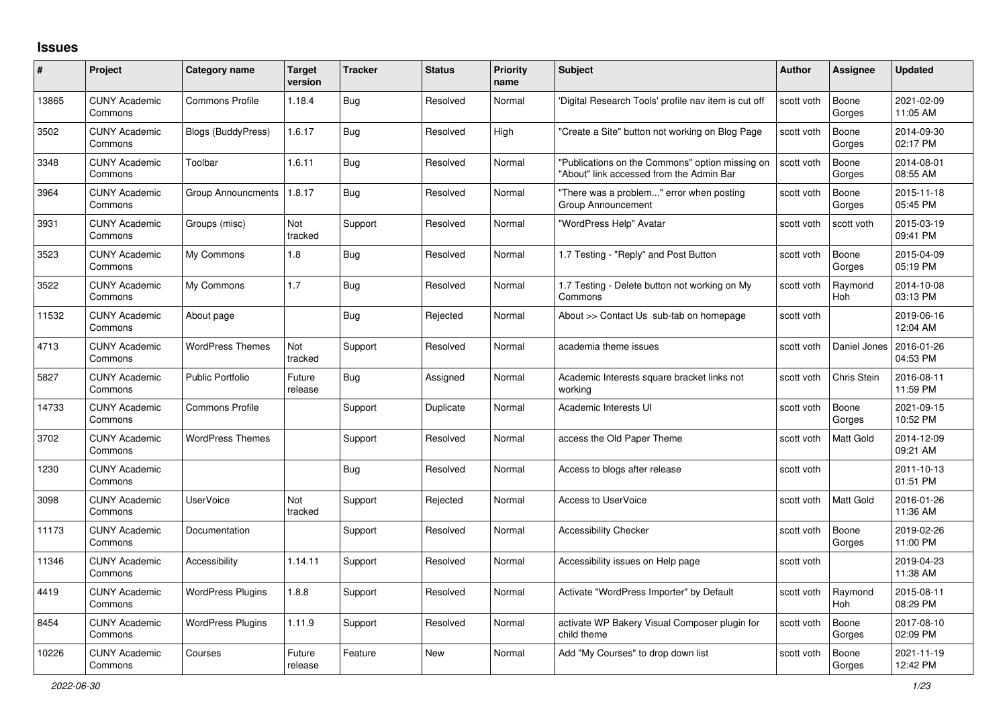## **Issues**

| $\#$  | Project                         | Category name            | <b>Target</b><br>version | <b>Tracker</b> | <b>Status</b> | <b>Priority</b><br>name | <b>Subject</b>                                                                              | <b>Author</b> | <b>Assignee</b>       | <b>Updated</b>         |
|-------|---------------------------------|--------------------------|--------------------------|----------------|---------------|-------------------------|---------------------------------------------------------------------------------------------|---------------|-----------------------|------------------------|
| 13865 | <b>CUNY Academic</b><br>Commons | <b>Commons Profile</b>   | 1.18.4                   | <b>Bug</b>     | Resolved      | Normal                  | 'Digital Research Tools' profile nav item is cut off                                        | scott voth    | Boone<br>Gorges       | 2021-02-09<br>11:05 AM |
| 3502  | <b>CUNY Academic</b><br>Commons | Blogs (BuddyPress)       | 1.6.17                   | Bug            | Resolved      | High                    | "Create a Site" button not working on Blog Page                                             | scott voth    | Boone<br>Gorges       | 2014-09-30<br>02:17 PM |
| 3348  | <b>CUNY Academic</b><br>Commons | Toolbar                  | 1.6.11                   | <b>Bug</b>     | Resolved      | Normal                  | "Publications on the Commons" option missing on<br>"About" link accessed from the Admin Bar | scott voth    | Boone<br>Gorges       | 2014-08-01<br>08:55 AM |
| 3964  | <b>CUNY Academic</b><br>Commons | Group Announcments       | 1.8.17                   | <b>Bug</b>     | Resolved      | Normal                  | "There was a problem" error when posting<br>Group Announcement                              | scott voth    | Boone<br>Gorges       | 2015-11-18<br>05:45 PM |
| 3931  | <b>CUNY Academic</b><br>Commons | Groups (misc)            | Not<br>tracked           | Support        | Resolved      | Normal                  | "WordPress Help" Avatar                                                                     | scott voth    | scott voth            | 2015-03-19<br>09:41 PM |
| 3523  | <b>CUNY Academic</b><br>Commons | My Commons               | 1.8                      | Bug            | Resolved      | Normal                  | 1.7 Testing - "Reply" and Post Button                                                       | scott voth    | Boone<br>Gorges       | 2015-04-09<br>05:19 PM |
| 3522  | <b>CUNY Academic</b><br>Commons | My Commons               | 1.7                      | Bug            | Resolved      | Normal                  | 1.7 Testing - Delete button not working on My<br>Commons                                    | scott voth    | Raymond<br>Hoh        | 2014-10-08<br>03:13 PM |
| 11532 | <b>CUNY Academic</b><br>Commons | About page               |                          | Bug            | Rejected      | Normal                  | About >> Contact Us sub-tab on homepage                                                     | scott voth    |                       | 2019-06-16<br>12:04 AM |
| 4713  | <b>CUNY Academic</b><br>Commons | <b>WordPress Themes</b>  | Not<br>tracked           | Support        | Resolved      | Normal                  | academia theme issues                                                                       | scott voth    | Daniel Jones          | 2016-01-26<br>04:53 PM |
| 5827  | <b>CUNY Academic</b><br>Commons | <b>Public Portfolio</b>  | Future<br>release        | <b>Bug</b>     | Assigned      | Normal                  | Academic Interests square bracket links not<br>working                                      | scott voth    | Chris Stein           | 2016-08-11<br>11:59 PM |
| 14733 | <b>CUNY Academic</b><br>Commons | <b>Commons Profile</b>   |                          | Support        | Duplicate     | Normal                  | Academic Interests UI                                                                       | scott voth    | Boone<br>Gorges       | 2021-09-15<br>10:52 PM |
| 3702  | <b>CUNY Academic</b><br>Commons | <b>WordPress Themes</b>  |                          | Support        | Resolved      | Normal                  | access the Old Paper Theme                                                                  | scott voth    | Matt Gold             | 2014-12-09<br>09:21 AM |
| 1230  | <b>CUNY Academic</b><br>Commons |                          |                          | <b>Bug</b>     | Resolved      | Normal                  | Access to blogs after release                                                               | scott voth    |                       | 2011-10-13<br>01:51 PM |
| 3098  | <b>CUNY Academic</b><br>Commons | <b>UserVoice</b>         | Not<br>tracked           | Support        | Rejected      | Normal                  | <b>Access to UserVoice</b>                                                                  | scott voth    | <b>Matt Gold</b>      | 2016-01-26<br>11:36 AM |
| 11173 | <b>CUNY Academic</b><br>Commons | Documentation            |                          | Support        | Resolved      | Normal                  | <b>Accessibility Checker</b>                                                                | scott voth    | Boone<br>Gorges       | 2019-02-26<br>11:00 PM |
| 11346 | <b>CUNY Academic</b><br>Commons | Accessibility            | 1.14.11                  | Support        | Resolved      | Normal                  | Accessibility issues on Help page                                                           | scott voth    |                       | 2019-04-23<br>11:38 AM |
| 4419  | <b>CUNY Academic</b><br>Commons | <b>WordPress Plugins</b> | 1.8.8                    | Support        | Resolved      | Normal                  | Activate "WordPress Importer" by Default                                                    | scott voth    | Raymond<br><b>Hoh</b> | 2015-08-11<br>08:29 PM |
| 8454  | <b>CUNY Academic</b><br>Commons | <b>WordPress Plugins</b> | 1.11.9                   | Support        | Resolved      | Normal                  | activate WP Bakery Visual Composer plugin for<br>child theme                                | scott voth    | Boone<br>Gorges       | 2017-08-10<br>02:09 PM |
| 10226 | <b>CUNY Academic</b><br>Commons | Courses                  | Future<br>release        | Feature        | <b>New</b>    | Normal                  | Add "My Courses" to drop down list                                                          | scott voth    | Boone<br>Gorges       | 2021-11-19<br>12:42 PM |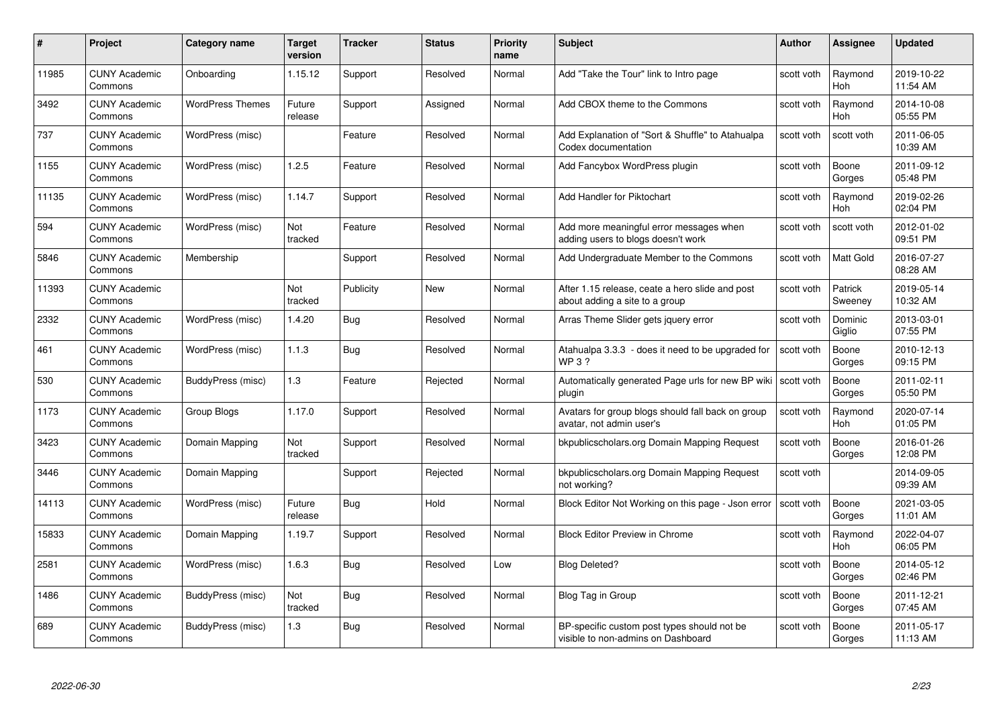| #     | Project                         | <b>Category name</b>    | Target<br>version | <b>Tracker</b> | <b>Status</b> | <b>Priority</b><br>name | <b>Subject</b>                                                                    | <b>Author</b> | Assignee              | <b>Updated</b>         |
|-------|---------------------------------|-------------------------|-------------------|----------------|---------------|-------------------------|-----------------------------------------------------------------------------------|---------------|-----------------------|------------------------|
| 11985 | <b>CUNY Academic</b><br>Commons | Onboarding              | 1.15.12           | Support        | Resolved      | Normal                  | Add "Take the Tour" link to Intro page                                            | scott voth    | Raymond<br><b>Hoh</b> | 2019-10-22<br>11:54 AM |
| 3492  | <b>CUNY Academic</b><br>Commons | <b>WordPress Themes</b> | Future<br>release | Support        | Assigned      | Normal                  | Add CBOX theme to the Commons                                                     | scott voth    | Raymond<br><b>Hoh</b> | 2014-10-08<br>05:55 PM |
| 737   | <b>CUNY Academic</b><br>Commons | WordPress (misc)        |                   | Feature        | Resolved      | Normal                  | Add Explanation of "Sort & Shuffle" to Atahualpa<br>Codex documentation           | scott voth    | scott voth            | 2011-06-05<br>10:39 AM |
| 1155  | <b>CUNY Academic</b><br>Commons | WordPress (misc)        | 1.2.5             | Feature        | Resolved      | Normal                  | Add Fancybox WordPress plugin                                                     | scott voth    | Boone<br>Gorges       | 2011-09-12<br>05:48 PM |
| 11135 | <b>CUNY Academic</b><br>Commons | WordPress (misc)        | 1.14.7            | Support        | Resolved      | Normal                  | Add Handler for Piktochart                                                        | scott voth    | Raymond<br>Hoh        | 2019-02-26<br>02:04 PM |
| 594   | <b>CUNY Academic</b><br>Commons | WordPress (misc)        | Not<br>tracked    | Feature        | Resolved      | Normal                  | Add more meaningful error messages when<br>adding users to blogs doesn't work     | scott voth    | scott voth            | 2012-01-02<br>09:51 PM |
| 5846  | <b>CUNY Academic</b><br>Commons | Membership              |                   | Support        | Resolved      | Normal                  | Add Undergraduate Member to the Commons                                           | scott voth    | Matt Gold             | 2016-07-27<br>08:28 AM |
| 11393 | <b>CUNY Academic</b><br>Commons |                         | Not<br>tracked    | Publicity      | <b>New</b>    | Normal                  | After 1.15 release, ceate a hero slide and post<br>about adding a site to a group | scott voth    | Patrick<br>Sweeney    | 2019-05-14<br>10:32 AM |
| 2332  | <b>CUNY Academic</b><br>Commons | WordPress (misc)        | 1.4.20            | Bug            | Resolved      | Normal                  | Arras Theme Slider gets jquery error                                              | scott voth    | Dominic<br>Giglio     | 2013-03-01<br>07:55 PM |
| 461   | <b>CUNY Academic</b><br>Commons | WordPress (misc)        | 1.1.3             | <b>Bug</b>     | Resolved      | Normal                  | Atahualpa 3.3.3 - does it need to be upgraded for<br><b>WP3?</b>                  | scott voth    | Boone<br>Gorges       | 2010-12-13<br>09:15 PM |
| 530   | <b>CUNY Academic</b><br>Commons | BuddyPress (misc)       | 1.3               | Feature        | Rejected      | Normal                  | Automatically generated Page urls for new BP wiki<br>plugin                       | scott voth    | Boone<br>Gorges       | 2011-02-11<br>05:50 PM |
| 1173  | <b>CUNY Academic</b><br>Commons | Group Blogs             | 1.17.0            | Support        | Resolved      | Normal                  | Avatars for group blogs should fall back on group<br>avatar, not admin user's     | scott voth    | Raymond<br><b>Hoh</b> | 2020-07-14<br>01:05 PM |
| 3423  | <b>CUNY Academic</b><br>Commons | Domain Mapping          | Not<br>tracked    | Support        | Resolved      | Normal                  | bkpublicscholars.org Domain Mapping Request                                       | scott voth    | Boone<br>Gorges       | 2016-01-26<br>12:08 PM |
| 3446  | <b>CUNY Academic</b><br>Commons | Domain Mapping          |                   | Support        | Rejected      | Normal                  | bkpublicscholars.org Domain Mapping Request<br>not working?                       | scott voth    |                       | 2014-09-05<br>09:39 AM |
| 14113 | <b>CUNY Academic</b><br>Commons | WordPress (misc)        | Future<br>release | <b>Bug</b>     | Hold          | Normal                  | Block Editor Not Working on this page - Json error                                | scott voth    | Boone<br>Gorges       | 2021-03-05<br>11:01 AM |
| 15833 | <b>CUNY Academic</b><br>Commons | Domain Mapping          | 1.19.7            | Support        | Resolved      | Normal                  | <b>Block Editor Preview in Chrome</b>                                             | scott voth    | Raymond<br>Hoh        | 2022-04-07<br>06:05 PM |
| 2581  | <b>CUNY Academic</b><br>Commons | WordPress (misc)        | 1.6.3             | <b>Bug</b>     | Resolved      | Low                     | <b>Blog Deleted?</b>                                                              | scott voth    | Boone<br>Gorges       | 2014-05-12<br>02:46 PM |
| 1486  | <b>CUNY Academic</b><br>Commons | BuddyPress (misc)       | Not<br>tracked    | <b>Bug</b>     | Resolved      | Normal                  | Blog Tag in Group                                                                 | scott voth    | Boone<br>Gorges       | 2011-12-21<br>07:45 AM |
| 689   | <b>CUNY Academic</b><br>Commons | BuddyPress (misc)       | 1.3               | <b>Bug</b>     | Resolved      | Normal                  | BP-specific custom post types should not be<br>visible to non-admins on Dashboard | scott voth    | Boone<br>Gorges       | 2011-05-17<br>11:13 AM |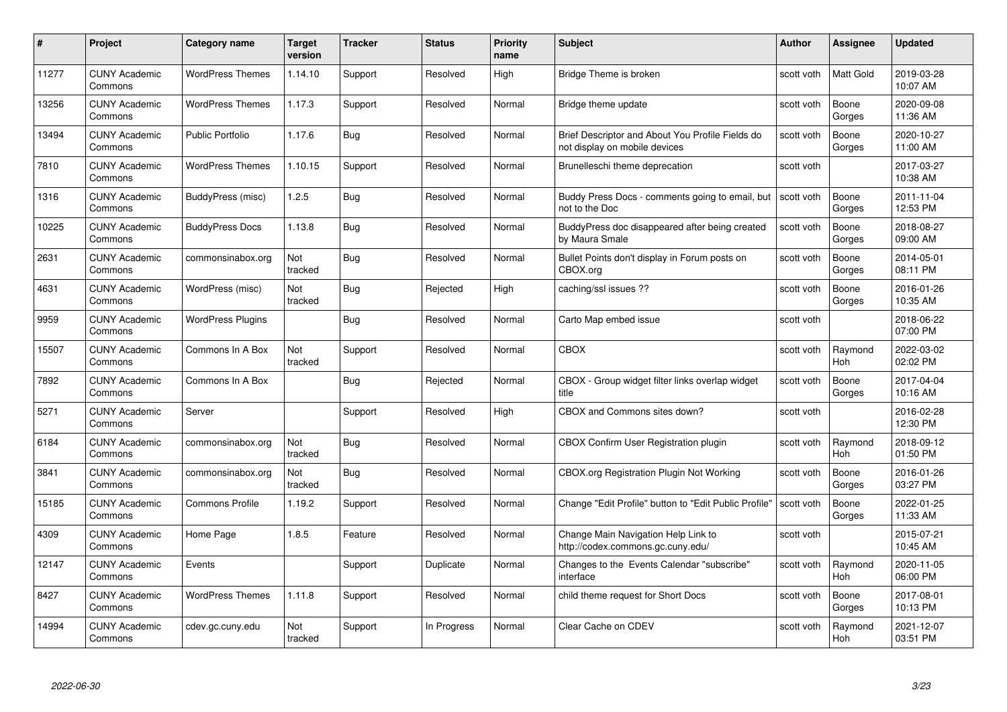| #     | Project                         | Category name            | Target<br>version | <b>Tracker</b> | <b>Status</b> | <b>Priority</b><br>name | <b>Subject</b>                                                                    | Author     | Assignee              | <b>Updated</b>         |
|-------|---------------------------------|--------------------------|-------------------|----------------|---------------|-------------------------|-----------------------------------------------------------------------------------|------------|-----------------------|------------------------|
| 11277 | <b>CUNY Academic</b><br>Commons | <b>WordPress Themes</b>  | 1.14.10           | Support        | Resolved      | High                    | Bridge Theme is broken                                                            | scott voth | <b>Matt Gold</b>      | 2019-03-28<br>10:07 AM |
| 13256 | <b>CUNY Academic</b><br>Commons | <b>WordPress Themes</b>  | 1.17.3            | Support        | Resolved      | Normal                  | Bridge theme update                                                               | scott voth | Boone<br>Gorges       | 2020-09-08<br>11:36 AM |
| 13494 | <b>CUNY Academic</b><br>Commons | <b>Public Portfolio</b>  | 1.17.6            | <b>Bug</b>     | Resolved      | Normal                  | Brief Descriptor and About You Profile Fields do<br>not display on mobile devices | scott voth | Boone<br>Gorges       | 2020-10-27<br>11:00 AM |
| 7810  | <b>CUNY Academic</b><br>Commons | <b>WordPress Themes</b>  | 1.10.15           | Support        | Resolved      | Normal                  | Brunelleschi theme deprecation                                                    | scott voth |                       | 2017-03-27<br>10:38 AM |
| 1316  | <b>CUNY Academic</b><br>Commons | BuddyPress (misc)        | 1.2.5             | <b>Bug</b>     | Resolved      | Normal                  | Buddy Press Docs - comments going to email, but<br>not to the Doc                 | scott voth | Boone<br>Gorges       | 2011-11-04<br>12:53 PM |
| 10225 | <b>CUNY Academic</b><br>Commons | <b>BuddyPress Docs</b>   | 1.13.8            | Bug            | Resolved      | Normal                  | BuddyPress doc disappeared after being created<br>by Maura Smale                  | scott voth | Boone<br>Gorges       | 2018-08-27<br>09:00 AM |
| 2631  | <b>CUNY Academic</b><br>Commons | commonsinabox.org        | Not<br>tracked    | Bug            | Resolved      | Normal                  | Bullet Points don't display in Forum posts on<br>CBOX.org                         | scott voth | Boone<br>Gorges       | 2014-05-01<br>08:11 PM |
| 4631  | <b>CUNY Academic</b><br>Commons | WordPress (misc)         | Not<br>tracked    | Bug            | Rejected      | High                    | caching/ssl issues ??                                                             | scott voth | Boone<br>Gorges       | 2016-01-26<br>10:35 AM |
| 9959  | <b>CUNY Academic</b><br>Commons | <b>WordPress Plugins</b> |                   | Bug            | Resolved      | Normal                  | Carto Map embed issue                                                             | scott voth |                       | 2018-06-22<br>07:00 PM |
| 15507 | <b>CUNY Academic</b><br>Commons | Commons In A Box         | Not<br>tracked    | Support        | Resolved      | Normal                  | <b>CBOX</b>                                                                       | scott voth | Raymond<br><b>Hoh</b> | 2022-03-02<br>02:02 PM |
| 7892  | <b>CUNY Academic</b><br>Commons | Commons In A Box         |                   | Bug            | Rejected      | Normal                  | CBOX - Group widget filter links overlap widget<br>title                          | scott voth | Boone<br>Gorges       | 2017-04-04<br>10:16 AM |
| 5271  | <b>CUNY Academic</b><br>Commons | Server                   |                   | Support        | Resolved      | High                    | CBOX and Commons sites down?                                                      | scott voth |                       | 2016-02-28<br>12:30 PM |
| 6184  | <b>CUNY Academic</b><br>Commons | commonsinabox.org        | Not<br>tracked    | Bug            | Resolved      | Normal                  | <b>CBOX Confirm User Registration plugin</b>                                      | scott voth | Raymond<br>Hoh        | 2018-09-12<br>01:50 PM |
| 3841  | <b>CUNY Academic</b><br>Commons | commonsinabox.org        | Not<br>tracked    | <b>Bug</b>     | Resolved      | Normal                  | CBOX.org Registration Plugin Not Working                                          | scott voth | Boone<br>Gorges       | 2016-01-26<br>03:27 PM |
| 15185 | <b>CUNY Academic</b><br>Commons | <b>Commons Profile</b>   | 1.19.2            | Support        | Resolved      | Normal                  | Change "Edit Profile" button to "Edit Public Profile"                             | scott voth | Boone<br>Gorges       | 2022-01-25<br>11:33 AM |
| 4309  | <b>CUNY Academic</b><br>Commons | Home Page                | 1.8.5             | Feature        | Resolved      | Normal                  | Change Main Navigation Help Link to<br>http://codex.commons.gc.cuny.edu/          | scott voth |                       | 2015-07-21<br>10:45 AM |
| 12147 | <b>CUNY Academic</b><br>Commons | Events                   |                   | Support        | Duplicate     | Normal                  | Changes to the Events Calendar "subscribe"<br>interface                           | scott voth | Raymond<br><b>Hoh</b> | 2020-11-05<br>06:00 PM |
| 8427  | <b>CUNY Academic</b><br>Commons | <b>WordPress Themes</b>  | 1.11.8            | Support        | Resolved      | Normal                  | child theme request for Short Docs                                                | scott voth | Boone<br>Gorges       | 2017-08-01<br>10:13 PM |
| 14994 | <b>CUNY Academic</b><br>Commons | cdev.gc.cuny.edu         | Not<br>tracked    | Support        | In Progress   | Normal                  | Clear Cache on CDEV                                                               | scott voth | Raymond<br>Hoh        | 2021-12-07<br>03:51 PM |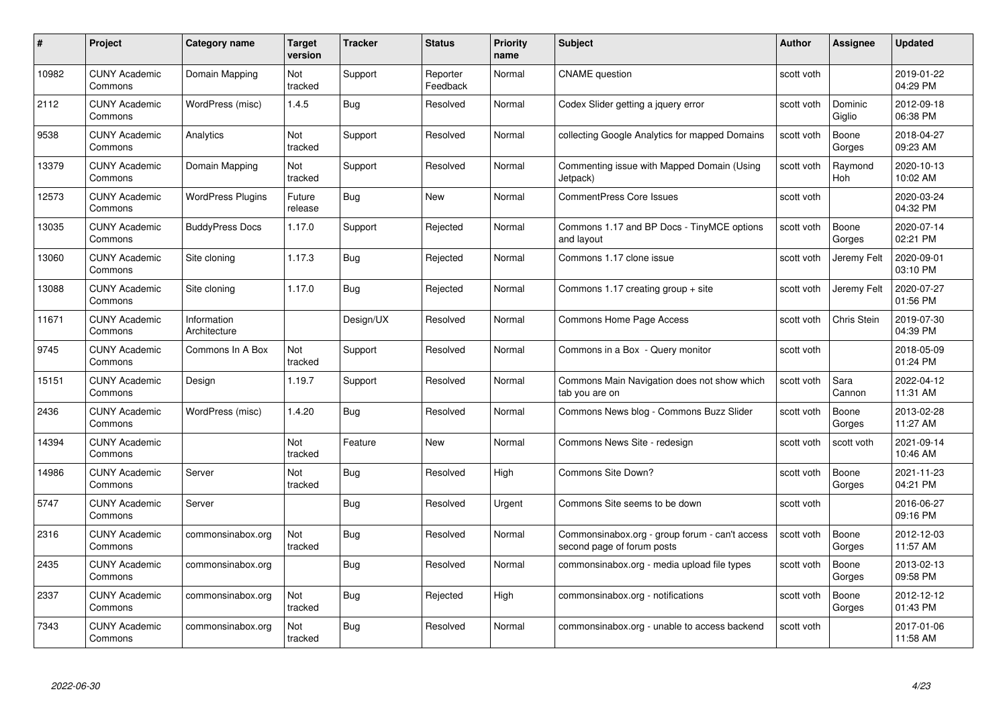| #     | Project                         | <b>Category name</b>        | Target<br>version | <b>Tracker</b> | <b>Status</b>        | <b>Priority</b><br>name | <b>Subject</b>                                                               | <b>Author</b> | Assignee              | <b>Updated</b>         |
|-------|---------------------------------|-----------------------------|-------------------|----------------|----------------------|-------------------------|------------------------------------------------------------------------------|---------------|-----------------------|------------------------|
| 10982 | <b>CUNY Academic</b><br>Commons | Domain Mapping              | Not<br>tracked    | Support        | Reporter<br>Feedback | Normal                  | <b>CNAME</b> question                                                        | scott voth    |                       | 2019-01-22<br>04:29 PM |
| 2112  | <b>CUNY Academic</b><br>Commons | WordPress (misc)            | 1.4.5             | Bug            | Resolved             | Normal                  | Codex Slider getting a jquery error                                          | scott voth    | Dominic<br>Giglio     | 2012-09-18<br>06:38 PM |
| 9538  | <b>CUNY Academic</b><br>Commons | Analytics                   | Not<br>tracked    | Support        | Resolved             | Normal                  | collecting Google Analytics for mapped Domains                               | scott voth    | Boone<br>Gorges       | 2018-04-27<br>09:23 AM |
| 13379 | <b>CUNY Academic</b><br>Commons | Domain Mapping              | Not<br>tracked    | Support        | Resolved             | Normal                  | Commenting issue with Mapped Domain (Using<br>Jetpack)                       | scott voth    | Raymond<br><b>Hoh</b> | 2020-10-13<br>10:02 AM |
| 12573 | <b>CUNY Academic</b><br>Commons | <b>WordPress Plugins</b>    | Future<br>release | <b>Bug</b>     | <b>New</b>           | Normal                  | <b>CommentPress Core Issues</b>                                              | scott voth    |                       | 2020-03-24<br>04:32 PM |
| 13035 | <b>CUNY Academic</b><br>Commons | <b>BuddyPress Docs</b>      | 1.17.0            | Support        | Rejected             | Normal                  | Commons 1.17 and BP Docs - TinyMCE options<br>and layout                     | scott voth    | Boone<br>Gorges       | 2020-07-14<br>02:21 PM |
| 13060 | <b>CUNY Academic</b><br>Commons | Site cloning                | 1.17.3            | <b>Bug</b>     | Rejected             | Normal                  | Commons 1.17 clone issue                                                     | scott voth    | Jeremy Felt           | 2020-09-01<br>03:10 PM |
| 13088 | <b>CUNY Academic</b><br>Commons | Site cloning                | 1.17.0            | Bug            | Rejected             | Normal                  | Commons 1.17 creating group + site                                           | scott voth    | Jeremy Felt           | 2020-07-27<br>01:56 PM |
| 11671 | <b>CUNY Academic</b><br>Commons | Information<br>Architecture |                   | Design/UX      | Resolved             | Normal                  | Commons Home Page Access                                                     | scott voth    | Chris Stein           | 2019-07-30<br>04:39 PM |
| 9745  | <b>CUNY Academic</b><br>Commons | Commons In A Box            | Not<br>tracked    | Support        | Resolved             | Normal                  | Commons in a Box - Query monitor                                             | scott voth    |                       | 2018-05-09<br>01:24 PM |
| 15151 | <b>CUNY Academic</b><br>Commons | Design                      | 1.19.7            | Support        | Resolved             | Normal                  | Commons Main Navigation does not show which<br>tab you are on                | scott voth    | Sara<br>Cannon        | 2022-04-12<br>11:31 AM |
| 2436  | <b>CUNY Academic</b><br>Commons | WordPress (misc)            | 1.4.20            | Bug            | Resolved             | Normal                  | Commons News blog - Commons Buzz Slider                                      | scott voth    | Boone<br>Gorges       | 2013-02-28<br>11:27 AM |
| 14394 | <b>CUNY Academic</b><br>Commons |                             | Not<br>tracked    | Feature        | New                  | Normal                  | Commons News Site - redesign                                                 | scott voth    | scott voth            | 2021-09-14<br>10:46 AM |
| 14986 | <b>CUNY Academic</b><br>Commons | Server                      | Not<br>tracked    | <b>Bug</b>     | Resolved             | High                    | Commons Site Down?                                                           | scott voth    | Boone<br>Gorges       | 2021-11-23<br>04:21 PM |
| 5747  | <b>CUNY Academic</b><br>Commons | Server                      |                   | Bug            | Resolved             | Urgent                  | Commons Site seems to be down                                                | scott voth    |                       | 2016-06-27<br>09:16 PM |
| 2316  | <b>CUNY Academic</b><br>Commons | commonsinabox.org           | Not<br>tracked    | Bug            | Resolved             | Normal                  | Commonsinabox.org - group forum - can't access<br>second page of forum posts | scott voth    | Boone<br>Gorges       | 2012-12-03<br>11:57 AM |
| 2435  | <b>CUNY Academic</b><br>Commons | commonsinabox.org           |                   | Bug            | Resolved             | Normal                  | commonsinabox.org - media upload file types                                  | scott voth    | Boone<br>Gorges       | 2013-02-13<br>09:58 PM |
| 2337  | <b>CUNY Academic</b><br>Commons | commonsinabox.org           | Not<br>tracked    | Bug            | Rejected             | High                    | commonsinabox.org - notifications                                            | scott voth    | Boone<br>Gorges       | 2012-12-12<br>01:43 PM |
| 7343  | CUNY Academic<br>Commons        | commonsinabox.org           | Not<br>tracked    | <b>Bug</b>     | Resolved             | Normal                  | commonsinabox.org - unable to access backend                                 | scott voth    |                       | 2017-01-06<br>11:58 AM |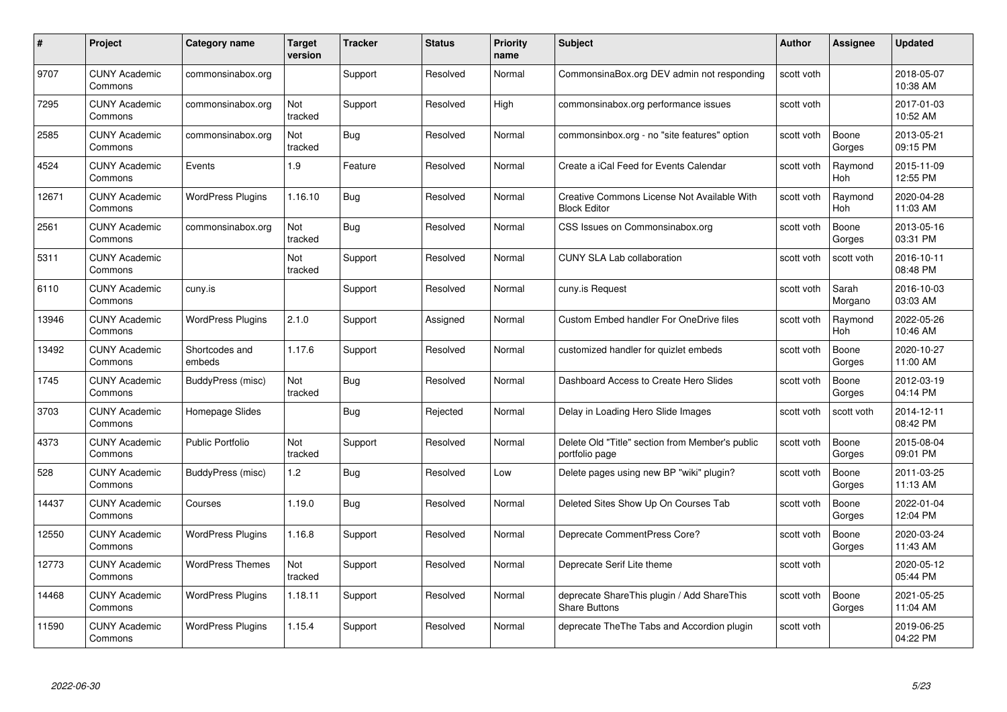| #     | Project                         | <b>Category name</b>     | Target<br>version | <b>Tracker</b> | <b>Status</b> | <b>Priority</b><br>name | <b>Subject</b>                                                     | <b>Author</b> | <b>Assignee</b>       | <b>Updated</b>         |
|-------|---------------------------------|--------------------------|-------------------|----------------|---------------|-------------------------|--------------------------------------------------------------------|---------------|-----------------------|------------------------|
| 9707  | <b>CUNY Academic</b><br>Commons | commonsinabox.org        |                   | Support        | Resolved      | Normal                  | CommonsinaBox.org DEV admin not responding                         | scott voth    |                       | 2018-05-07<br>10:38 AM |
| 7295  | <b>CUNY Academic</b><br>Commons | commonsinabox.org        | Not<br>tracked    | Support        | Resolved      | High                    | commonsinabox.org performance issues                               | scott voth    |                       | 2017-01-03<br>10:52 AM |
| 2585  | <b>CUNY Academic</b><br>Commons | commonsinabox.org        | Not<br>tracked    | <b>Bug</b>     | Resolved      | Normal                  | commonsinbox.org - no "site features" option                       | scott voth    | Boone<br>Gorges       | 2013-05-21<br>09:15 PM |
| 4524  | <b>CUNY Academic</b><br>Commons | Events                   | 1.9               | Feature        | Resolved      | Normal                  | Create a iCal Feed for Events Calendar                             | scott voth    | Raymond<br><b>Hoh</b> | 2015-11-09<br>12:55 PM |
| 12671 | <b>CUNY Academic</b><br>Commons | <b>WordPress Plugins</b> | 1.16.10           | <b>Bug</b>     | Resolved      | Normal                  | Creative Commons License Not Available With<br><b>Block Editor</b> | scott voth    | Raymond<br>Hoh        | 2020-04-28<br>11:03 AM |
| 2561  | <b>CUNY Academic</b><br>Commons | commonsinabox.org        | Not<br>tracked    | Bug            | Resolved      | Normal                  | CSS Issues on Commonsinabox.org                                    | scott voth    | Boone<br>Gorges       | 2013-05-16<br>03:31 PM |
| 5311  | <b>CUNY Academic</b><br>Commons |                          | Not<br>tracked    | Support        | Resolved      | Normal                  | <b>CUNY SLA Lab collaboration</b>                                  | scott voth    | scott voth            | 2016-10-11<br>08:48 PM |
| 6110  | <b>CUNY Academic</b><br>Commons | cuny.is                  |                   | Support        | Resolved      | Normal                  | cuny.is Request                                                    | scott voth    | Sarah<br>Morgano      | 2016-10-03<br>03:03 AM |
| 13946 | <b>CUNY Academic</b><br>Commons | <b>WordPress Plugins</b> | 2.1.0             | Support        | Assigned      | Normal                  | <b>Custom Embed handler For OneDrive files</b>                     | scott voth    | Raymond<br>Hoh        | 2022-05-26<br>10:46 AM |
| 13492 | <b>CUNY Academic</b><br>Commons | Shortcodes and<br>embeds | 1.17.6            | Support        | Resolved      | Normal                  | customized handler for quizlet embeds                              | scott voth    | Boone<br>Gorges       | 2020-10-27<br>11:00 AM |
| 1745  | <b>CUNY Academic</b><br>Commons | BuddyPress (misc)        | Not<br>tracked    | Bug            | Resolved      | Normal                  | Dashboard Access to Create Hero Slides                             | scott voth    | Boone<br>Gorges       | 2012-03-19<br>04:14 PM |
| 3703  | <b>CUNY Academic</b><br>Commons | Homepage Slides          |                   | <b>Bug</b>     | Rejected      | Normal                  | Delay in Loading Hero Slide Images                                 | scott voth    | scott voth            | 2014-12-11<br>08:42 PM |
| 4373  | <b>CUNY Academic</b><br>Commons | <b>Public Portfolio</b>  | Not<br>tracked    | Support        | Resolved      | Normal                  | Delete Old "Title" section from Member's public<br>portfolio page  | scott voth    | Boone<br>Gorges       | 2015-08-04<br>09:01 PM |
| 528   | <b>CUNY Academic</b><br>Commons | BuddyPress (misc)        | 1.2               | Bug            | Resolved      | Low                     | Delete pages using new BP "wiki" plugin?                           | scott voth    | Boone<br>Gorges       | 2011-03-25<br>11:13 AM |
| 14437 | <b>CUNY Academic</b><br>Commons | Courses                  | 1.19.0            | Bug            | Resolved      | Normal                  | Deleted Sites Show Up On Courses Tab                               | scott voth    | Boone<br>Gorges       | 2022-01-04<br>12:04 PM |
| 12550 | <b>CUNY Academic</b><br>Commons | <b>WordPress Plugins</b> | 1.16.8            | Support        | Resolved      | Normal                  | Deprecate CommentPress Core?                                       | scott voth    | Boone<br>Gorges       | 2020-03-24<br>11:43 AM |
| 12773 | <b>CUNY Academic</b><br>Commons | <b>WordPress Themes</b>  | Not<br>tracked    | Support        | Resolved      | Normal                  | Deprecate Serif Lite theme                                         | scott voth    |                       | 2020-05-12<br>05:44 PM |
| 14468 | <b>CUNY Academic</b><br>Commons | <b>WordPress Plugins</b> | 1.18.11           | Support        | Resolved      | Normal                  | deprecate ShareThis plugin / Add ShareThis<br><b>Share Buttons</b> | scott voth    | Boone<br>Gorges       | 2021-05-25<br>11:04 AM |
| 11590 | <b>CUNY Academic</b><br>Commons | <b>WordPress Plugins</b> | 1.15.4            | Support        | Resolved      | Normal                  | deprecate The The Tabs and Accordion plugin                        | scott voth    |                       | 2019-06-25<br>04:22 PM |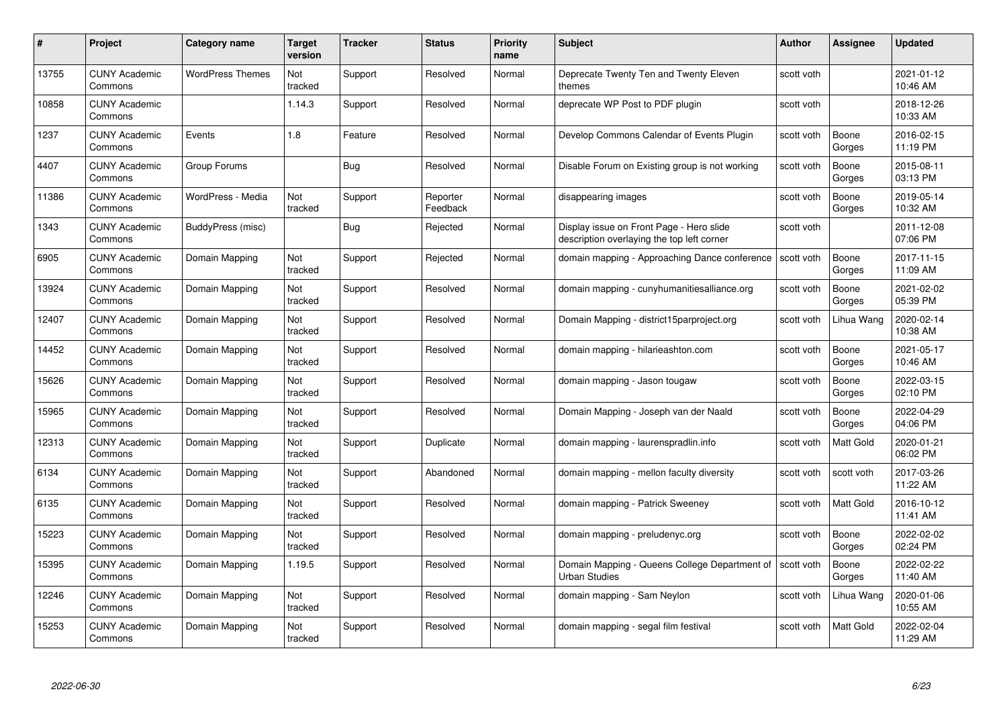| #     | Project                         | <b>Category name</b>    | Target<br>version | <b>Tracker</b> | <b>Status</b>        | <b>Priority</b><br>name | <b>Subject</b>                                                                         | <b>Author</b> | <b>Assignee</b>  | <b>Updated</b>         |
|-------|---------------------------------|-------------------------|-------------------|----------------|----------------------|-------------------------|----------------------------------------------------------------------------------------|---------------|------------------|------------------------|
| 13755 | <b>CUNY Academic</b><br>Commons | <b>WordPress Themes</b> | Not<br>tracked    | Support        | Resolved             | Normal                  | Deprecate Twenty Ten and Twenty Eleven<br>themes                                       | scott voth    |                  | 2021-01-12<br>10:46 AM |
| 10858 | <b>CUNY Academic</b><br>Commons |                         | 1.14.3            | Support        | Resolved             | Normal                  | deprecate WP Post to PDF plugin                                                        | scott voth    |                  | 2018-12-26<br>10:33 AM |
| 1237  | <b>CUNY Academic</b><br>Commons | Events                  | 1.8               | Feature        | Resolved             | Normal                  | Develop Commons Calendar of Events Plugin                                              | scott voth    | Boone<br>Gorges  | 2016-02-15<br>11:19 PM |
| 4407  | <b>CUNY Academic</b><br>Commons | Group Forums            |                   | Bug            | Resolved             | Normal                  | Disable Forum on Existing group is not working                                         | scott voth    | Boone<br>Gorges  | 2015-08-11<br>03:13 PM |
| 11386 | <b>CUNY Academic</b><br>Commons | WordPress - Media       | Not<br>tracked    | Support        | Reporter<br>Feedback | Normal                  | disappearing images                                                                    | scott voth    | Boone<br>Gorges  | 2019-05-14<br>10:32 AM |
| 1343  | <b>CUNY Academic</b><br>Commons | BuddyPress (misc)       |                   | Bug            | Rejected             | Normal                  | Display issue on Front Page - Hero slide<br>description overlaying the top left corner | scott voth    |                  | 2011-12-08<br>07:06 PM |
| 6905  | <b>CUNY Academic</b><br>Commons | Domain Mapping          | Not<br>tracked    | Support        | Rejected             | Normal                  | domain mapping - Approaching Dance conference                                          | scott voth    | Boone<br>Gorges  | 2017-11-15<br>11:09 AM |
| 13924 | <b>CUNY Academic</b><br>Commons | Domain Mapping          | Not<br>tracked    | Support        | Resolved             | Normal                  | domain mapping - cunyhumanitiesalliance.org                                            | scott voth    | Boone<br>Gorges  | 2021-02-02<br>05:39 PM |
| 12407 | <b>CUNY Academic</b><br>Commons | Domain Mapping          | Not<br>tracked    | Support        | Resolved             | Normal                  | Domain Mapping - district15parproject.org                                              | scott voth    | Lihua Wang       | 2020-02-14<br>10:38 AM |
| 14452 | <b>CUNY Academic</b><br>Commons | Domain Mapping          | Not<br>tracked    | Support        | Resolved             | Normal                  | domain mapping - hilarieashton.com                                                     | scott voth    | Boone<br>Gorges  | 2021-05-17<br>10:46 AM |
| 15626 | CUNY Academic<br>Commons        | Domain Mapping          | Not<br>tracked    | Support        | Resolved             | Normal                  | domain mapping - Jason tougaw                                                          | scott voth    | Boone<br>Gorges  | 2022-03-15<br>02:10 PM |
| 15965 | <b>CUNY Academic</b><br>Commons | Domain Mapping          | Not<br>tracked    | Support        | Resolved             | Normal                  | Domain Mapping - Joseph van der Naald                                                  | scott voth    | Boone<br>Gorges  | 2022-04-29<br>04:06 PM |
| 12313 | <b>CUNY Academic</b><br>Commons | Domain Mapping          | Not<br>tracked    | Support        | Duplicate            | Normal                  | domain mapping - laurenspradlin.info                                                   | scott voth    | Matt Gold        | 2020-01-21<br>06:02 PM |
| 6134  | <b>CUNY Academic</b><br>Commons | Domain Mapping          | Not<br>tracked    | Support        | Abandoned            | Normal                  | domain mapping - mellon faculty diversity                                              | scott voth    | scott voth       | 2017-03-26<br>11:22 AM |
| 6135  | <b>CUNY Academic</b><br>Commons | Domain Mapping          | Not<br>tracked    | Support        | Resolved             | Normal                  | domain mapping - Patrick Sweeney                                                       | scott voth    | Matt Gold        | 2016-10-12<br>11:41 AM |
| 15223 | <b>CUNY Academic</b><br>Commons | Domain Mapping          | Not<br>tracked    | Support        | Resolved             | Normal                  | domain mapping - preludenyc.org                                                        | scott voth    | Boone<br>Gorges  | 2022-02-02<br>02:24 PM |
| 15395 | <b>CUNY Academic</b><br>Commons | Domain Mapping          | 1.19.5            | Support        | Resolved             | Normal                  | Domain Mapping - Queens College Department of<br><b>Urban Studies</b>                  | scott voth    | Boone<br>Gorges  | 2022-02-22<br>11:40 AM |
| 12246 | <b>CUNY Academic</b><br>Commons | Domain Mapping          | Not<br>tracked    | Support        | Resolved             | Normal                  | domain mapping - Sam Neylon                                                            | scott voth    | Lihua Wang       | 2020-01-06<br>10:55 AM |
| 15253 | CUNY Academic<br>Commons        | Domain Mapping          | Not<br>tracked    | Support        | Resolved             | Normal                  | domain mapping - segal film festival                                                   | scott voth    | <b>Matt Gold</b> | 2022-02-04<br>11:29 AM |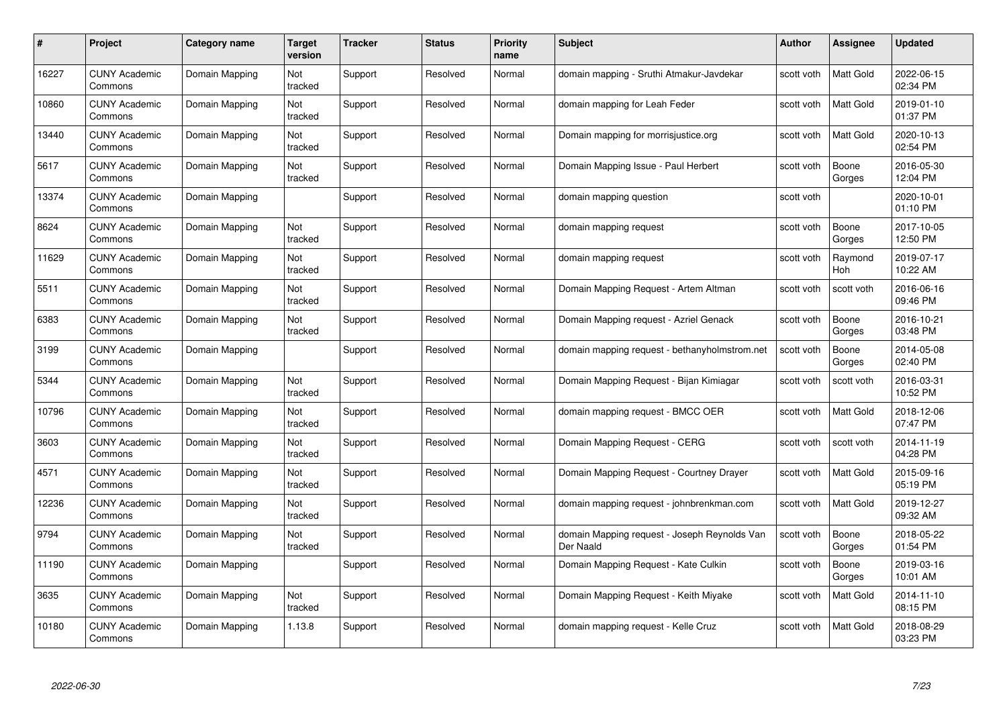| #     | Project                         | Category name  | Target<br>version | <b>Tracker</b> | <b>Status</b> | <b>Priority</b><br>name | <b>Subject</b>                                            | <b>Author</b> | <b>Assignee</b>  | <b>Updated</b>         |
|-------|---------------------------------|----------------|-------------------|----------------|---------------|-------------------------|-----------------------------------------------------------|---------------|------------------|------------------------|
| 16227 | <b>CUNY Academic</b><br>Commons | Domain Mapping | Not<br>tracked    | Support        | Resolved      | Normal                  | domain mapping - Sruthi Atmakur-Javdekar                  | scott voth    | <b>Matt Gold</b> | 2022-06-15<br>02:34 PM |
| 10860 | <b>CUNY Academic</b><br>Commons | Domain Mapping | Not<br>tracked    | Support        | Resolved      | Normal                  | domain mapping for Leah Feder                             | scott voth    | Matt Gold        | 2019-01-10<br>01:37 PM |
| 13440 | <b>CUNY Academic</b><br>Commons | Domain Mapping | Not<br>tracked    | Support        | Resolved      | Normal                  | Domain mapping for morrisjustice.org                      | scott voth    | Matt Gold        | 2020-10-13<br>02:54 PM |
| 5617  | <b>CUNY Academic</b><br>Commons | Domain Mapping | Not<br>tracked    | Support        | Resolved      | Normal                  | Domain Mapping Issue - Paul Herbert                       | scott voth    | Boone<br>Gorges  | 2016-05-30<br>12:04 PM |
| 13374 | <b>CUNY Academic</b><br>Commons | Domain Mapping |                   | Support        | Resolved      | Normal                  | domain mapping question                                   | scott voth    |                  | 2020-10-01<br>01:10 PM |
| 8624  | <b>CUNY Academic</b><br>Commons | Domain Mapping | Not<br>tracked    | Support        | Resolved      | Normal                  | domain mapping request                                    | scott voth    | Boone<br>Gorges  | 2017-10-05<br>12:50 PM |
| 11629 | <b>CUNY Academic</b><br>Commons | Domain Mapping | Not<br>tracked    | Support        | Resolved      | Normal                  | domain mapping request                                    | scott voth    | Raymond<br>Hoh   | 2019-07-17<br>10:22 AM |
| 5511  | <b>CUNY Academic</b><br>Commons | Domain Mapping | Not<br>tracked    | Support        | Resolved      | Normal                  | Domain Mapping Request - Artem Altman                     | scott voth    | scott voth       | 2016-06-16<br>09:46 PM |
| 6383  | <b>CUNY Academic</b><br>Commons | Domain Mapping | Not<br>tracked    | Support        | Resolved      | Normal                  | Domain Mapping request - Azriel Genack                    | scott voth    | Boone<br>Gorges  | 2016-10-21<br>03:48 PM |
| 3199  | <b>CUNY Academic</b><br>Commons | Domain Mapping |                   | Support        | Resolved      | Normal                  | domain mapping request - bethanyholmstrom.net             | scott voth    | Boone<br>Gorges  | 2014-05-08<br>02:40 PM |
| 5344  | <b>CUNY Academic</b><br>Commons | Domain Mapping | Not<br>tracked    | Support        | Resolved      | Normal                  | Domain Mapping Request - Bijan Kimiagar                   | scott voth    | scott voth       | 2016-03-31<br>10:52 PM |
| 10796 | <b>CUNY Academic</b><br>Commons | Domain Mapping | Not<br>tracked    | Support        | Resolved      | Normal                  | domain mapping request - BMCC OER                         | scott voth    | Matt Gold        | 2018-12-06<br>07:47 PM |
| 3603  | <b>CUNY Academic</b><br>Commons | Domain Mapping | Not<br>tracked    | Support        | Resolved      | Normal                  | Domain Mapping Request - CERG                             | scott voth    | scott voth       | 2014-11-19<br>04:28 PM |
| 4571  | <b>CUNY Academic</b><br>Commons | Domain Mapping | Not<br>tracked    | Support        | Resolved      | Normal                  | Domain Mapping Request - Courtney Drayer                  | scott voth    | Matt Gold        | 2015-09-16<br>05:19 PM |
| 12236 | <b>CUNY Academic</b><br>Commons | Domain Mapping | Not<br>tracked    | Support        | Resolved      | Normal                  | domain mapping request - johnbrenkman.com                 | scott voth    | Matt Gold        | 2019-12-27<br>09:32 AM |
| 9794  | <b>CUNY Academic</b><br>Commons | Domain Mapping | Not<br>tracked    | Support        | Resolved      | Normal                  | domain Mapping request - Joseph Reynolds Van<br>Der Naald | scott voth    | Boone<br>Gorges  | 2018-05-22<br>01:54 PM |
| 11190 | <b>CUNY Academic</b><br>Commons | Domain Mapping |                   | Support        | Resolved      | Normal                  | Domain Mapping Request - Kate Culkin                      | scott voth    | Boone<br>Gorges  | 2019-03-16<br>10:01 AM |
| 3635  | <b>CUNY Academic</b><br>Commons | Domain Mapping | Not<br>tracked    | Support        | Resolved      | Normal                  | Domain Mapping Request - Keith Miyake                     | scott voth    | Matt Gold        | 2014-11-10<br>08:15 PM |
| 10180 | CUNY Academic<br>Commons        | Domain Mapping | 1.13.8            | Support        | Resolved      | Normal                  | domain mapping request - Kelle Cruz                       | scott voth    | <b>Matt Gold</b> | 2018-08-29<br>03:23 PM |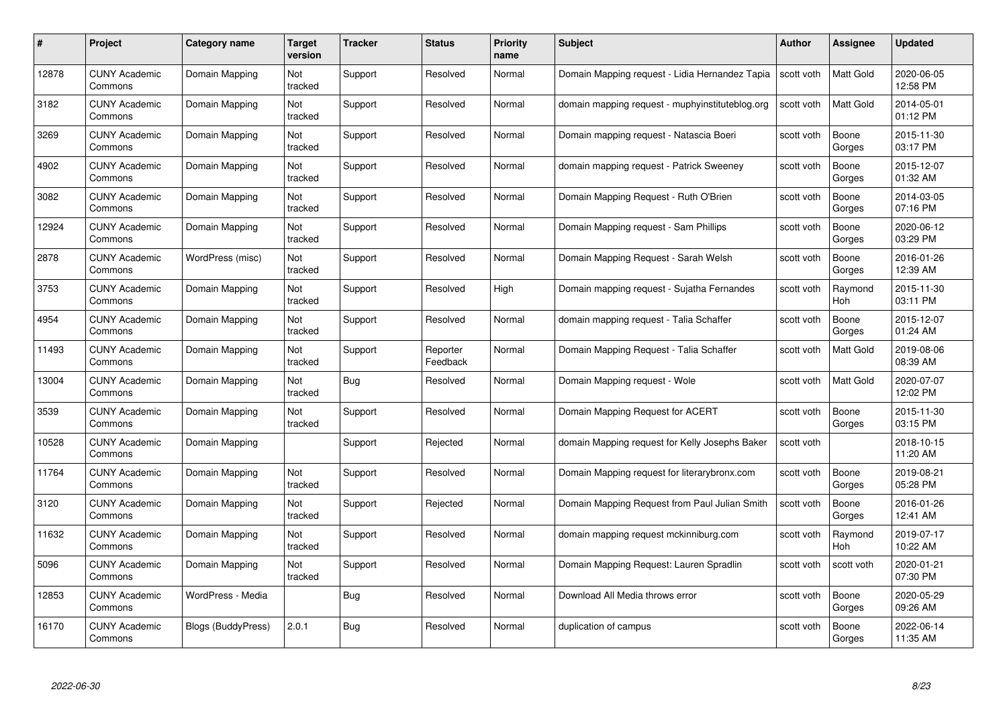| #     | Project                         | Category name      | Target<br>version | <b>Tracker</b> | <b>Status</b>        | <b>Priority</b><br>name | <b>Subject</b>                                  | <b>Author</b> | <b>Assignee</b>       | <b>Updated</b>         |
|-------|---------------------------------|--------------------|-------------------|----------------|----------------------|-------------------------|-------------------------------------------------|---------------|-----------------------|------------------------|
| 12878 | <b>CUNY Academic</b><br>Commons | Domain Mapping     | Not<br>tracked    | Support        | Resolved             | Normal                  | Domain Mapping request - Lidia Hernandez Tapia  | scott voth    | <b>Matt Gold</b>      | 2020-06-05<br>12:58 PM |
| 3182  | <b>CUNY Academic</b><br>Commons | Domain Mapping     | Not<br>tracked    | Support        | Resolved             | Normal                  | domain mapping request - muphyinstituteblog.org | scott voth    | Matt Gold             | 2014-05-01<br>01:12 PM |
| 3269  | <b>CUNY Academic</b><br>Commons | Domain Mapping     | Not<br>tracked    | Support        | Resolved             | Normal                  | Domain mapping request - Natascia Boeri         | scott voth    | Boone<br>Gorges       | 2015-11-30<br>03:17 PM |
| 4902  | <b>CUNY Academic</b><br>Commons | Domain Mapping     | Not<br>tracked    | Support        | Resolved             | Normal                  | domain mapping request - Patrick Sweeney        | scott voth    | Boone<br>Gorges       | 2015-12-07<br>01:32 AM |
| 3082  | <b>CUNY Academic</b><br>Commons | Domain Mapping     | Not<br>tracked    | Support        | Resolved             | Normal                  | Domain Mapping Request - Ruth O'Brien           | scott voth    | Boone<br>Gorges       | 2014-03-05<br>07:16 PM |
| 12924 | <b>CUNY Academic</b><br>Commons | Domain Mapping     | Not<br>tracked    | Support        | Resolved             | Normal                  | Domain Mapping request - Sam Phillips           | scott voth    | Boone<br>Gorges       | 2020-06-12<br>03:29 PM |
| 2878  | <b>CUNY Academic</b><br>Commons | WordPress (misc)   | Not<br>tracked    | Support        | Resolved             | Normal                  | Domain Mapping Request - Sarah Welsh            | scott voth    | Boone<br>Gorges       | 2016-01-26<br>12:39 AM |
| 3753  | <b>CUNY Academic</b><br>Commons | Domain Mapping     | Not<br>tracked    | Support        | Resolved             | High                    | Domain mapping request - Sujatha Fernandes      | scott voth    | Raymond<br>Hoh        | 2015-11-30<br>03:11 PM |
| 4954  | <b>CUNY Academic</b><br>Commons | Domain Mapping     | Not<br>tracked    | Support        | Resolved             | Normal                  | domain mapping request - Talia Schaffer         | scott voth    | Boone<br>Gorges       | 2015-12-07<br>01:24 AM |
| 11493 | <b>CUNY Academic</b><br>Commons | Domain Mapping     | Not<br>tracked    | Support        | Reporter<br>Feedback | Normal                  | Domain Mapping Request - Talia Schaffer         | scott voth    | Matt Gold             | 2019-08-06<br>08:39 AM |
| 13004 | <b>CUNY Academic</b><br>Commons | Domain Mapping     | Not<br>tracked    | Bug            | Resolved             | Normal                  | Domain Mapping request - Wole                   | scott voth    | Matt Gold             | 2020-07-07<br>12:02 PM |
| 3539  | <b>CUNY Academic</b><br>Commons | Domain Mapping     | Not<br>tracked    | Support        | Resolved             | Normal                  | Domain Mapping Request for ACERT                | scott voth    | Boone<br>Gorges       | 2015-11-30<br>03:15 PM |
| 10528 | <b>CUNY Academic</b><br>Commons | Domain Mapping     |                   | Support        | Rejected             | Normal                  | domain Mapping request for Kelly Josephs Baker  | scott voth    |                       | 2018-10-15<br>11:20 AM |
| 11764 | <b>CUNY Academic</b><br>Commons | Domain Mapping     | Not<br>tracked    | Support        | Resolved             | Normal                  | Domain Mapping request for literarybronx.com    | scott voth    | Boone<br>Gorges       | 2019-08-21<br>05:28 PM |
| 3120  | <b>CUNY Academic</b><br>Commons | Domain Mapping     | Not<br>tracked    | Support        | Rejected             | Normal                  | Domain Mapping Request from Paul Julian Smith   | scott voth    | Boone<br>Gorges       | 2016-01-26<br>12:41 AM |
| 11632 | <b>CUNY Academic</b><br>Commons | Domain Mapping     | Not<br>tracked    | Support        | Resolved             | Normal                  | domain mapping request mckinniburg.com          | scott voth    | Raymond<br><b>Hoh</b> | 2019-07-17<br>10:22 AM |
| 5096  | <b>CUNY Academic</b><br>Commons | Domain Mapping     | Not<br>tracked    | Support        | Resolved             | Normal                  | Domain Mapping Request: Lauren Spradlin         | scott voth    | scott voth            | 2020-01-21<br>07:30 PM |
| 12853 | <b>CUNY Academic</b><br>Commons | WordPress - Media  |                   | <b>Bug</b>     | Resolved             | Normal                  | Download All Media throws error                 | scott voth    | Boone<br>Gorges       | 2020-05-29<br>09:26 AM |
| 16170 | CUNY Academic<br>Commons        | Blogs (BuddyPress) | 2.0.1             | <b>Bug</b>     | Resolved             | Normal                  | duplication of campus                           | scott voth    | Boone<br>Gorges       | 2022-06-14<br>11:35 AM |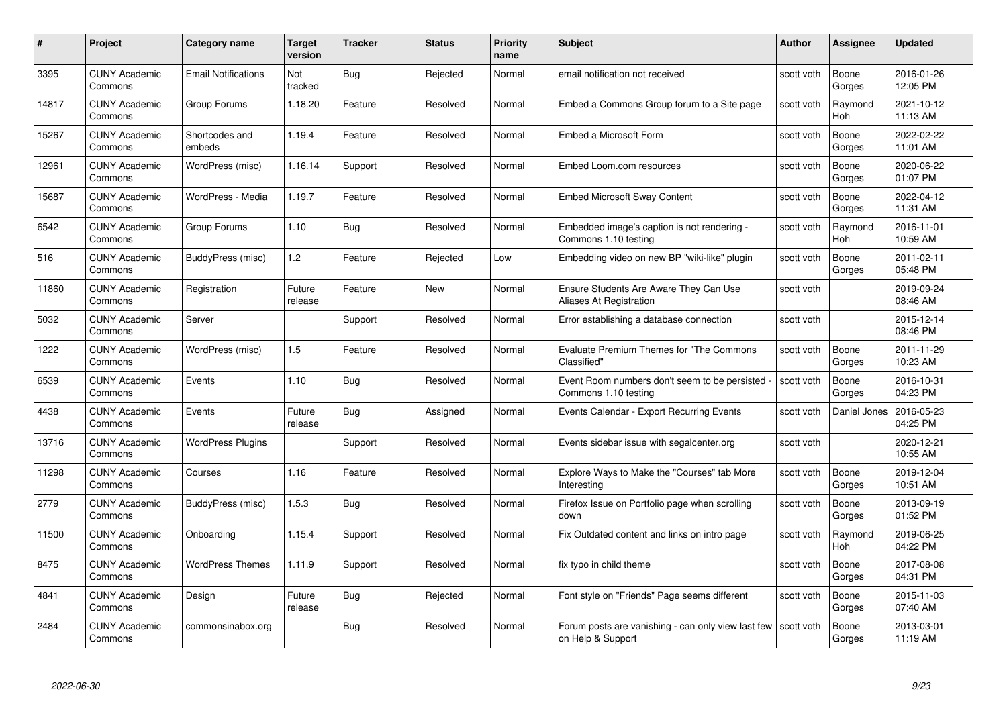| #     | Project                         | Category name              | Target<br>version | <b>Tracker</b> | <b>Status</b> | <b>Priority</b><br>name | <b>Subject</b>                                                          | Author     | Assignee              | <b>Updated</b>         |
|-------|---------------------------------|----------------------------|-------------------|----------------|---------------|-------------------------|-------------------------------------------------------------------------|------------|-----------------------|------------------------|
| 3395  | <b>CUNY Academic</b><br>Commons | <b>Email Notifications</b> | Not<br>tracked    | Bug            | Rejected      | Normal                  | email notification not received                                         | scott voth | Boone<br>Gorges       | 2016-01-26<br>12:05 PM |
| 14817 | <b>CUNY Academic</b><br>Commons | Group Forums               | 1.18.20           | Feature        | Resolved      | Normal                  | Embed a Commons Group forum to a Site page                              | scott voth | Raymond<br><b>Hoh</b> | 2021-10-12<br>11:13 AM |
| 15267 | <b>CUNY Academic</b><br>Commons | Shortcodes and<br>embeds   | 1.19.4            | Feature        | Resolved      | Normal                  | Embed a Microsoft Form                                                  | scott voth | Boone<br>Gorges       | 2022-02-22<br>11:01 AM |
| 12961 | <b>CUNY Academic</b><br>Commons | WordPress (misc)           | 1.16.14           | Support        | Resolved      | Normal                  | Embed Loom.com resources                                                | scott voth | Boone<br>Gorges       | 2020-06-22<br>01:07 PM |
| 15687 | <b>CUNY Academic</b><br>Commons | WordPress - Media          | 1.19.7            | Feature        | Resolved      | Normal                  | <b>Embed Microsoft Sway Content</b>                                     | scott voth | Boone<br>Gorges       | 2022-04-12<br>11:31 AM |
| 6542  | <b>CUNY Academic</b><br>Commons | Group Forums               | 1.10              | <b>Bug</b>     | Resolved      | Normal                  | Embedded image's caption is not rendering -<br>Commons 1.10 testing     | scott voth | Raymond<br>Hoh        | 2016-11-01<br>10:59 AM |
| 516   | <b>CUNY Academic</b><br>Commons | BuddyPress (misc)          | 1.2               | Feature        | Rejected      | Low                     | Embedding video on new BP "wiki-like" plugin                            | scott voth | Boone<br>Gorges       | 2011-02-11<br>05:48 PM |
| 11860 | <b>CUNY Academic</b><br>Commons | Registration               | Future<br>release | Feature        | <b>New</b>    | Normal                  | Ensure Students Are Aware They Can Use<br>Aliases At Registration       | scott voth |                       | 2019-09-24<br>08:46 AM |
| 5032  | <b>CUNY Academic</b><br>Commons | Server                     |                   | Support        | Resolved      | Normal                  | Error establishing a database connection                                | scott voth |                       | 2015-12-14<br>08:46 PM |
| 1222  | <b>CUNY Academic</b><br>Commons | WordPress (misc)           | 1.5               | Feature        | Resolved      | Normal                  | Evaluate Premium Themes for "The Commons<br>Classified"                 | scott voth | Boone<br>Gorges       | 2011-11-29<br>10:23 AM |
| 6539  | <b>CUNY Academic</b><br>Commons | Events                     | 1.10              | <b>Bug</b>     | Resolved      | Normal                  | Event Room numbers don't seem to be persisted<br>Commons 1.10 testing   | scott voth | Boone<br>Gorges       | 2016-10-31<br>04:23 PM |
| 4438  | <b>CUNY Academic</b><br>Commons | Events                     | Future<br>release | <b>Bug</b>     | Assigned      | Normal                  | Events Calendar - Export Recurring Events                               | scott voth | Daniel Jones          | 2016-05-23<br>04:25 PM |
| 13716 | <b>CUNY Academic</b><br>Commons | <b>WordPress Plugins</b>   |                   | Support        | Resolved      | Normal                  | Events sidebar issue with segalcenter.org                               | scott voth |                       | 2020-12-21<br>10:55 AM |
| 11298 | <b>CUNY Academic</b><br>Commons | Courses                    | 1.16              | Feature        | Resolved      | Normal                  | Explore Ways to Make the "Courses" tab More<br>Interesting              | scott voth | Boone<br>Gorges       | 2019-12-04<br>10:51 AM |
| 2779  | <b>CUNY Academic</b><br>Commons | BuddyPress (misc)          | 1.5.3             | Bug            | Resolved      | Normal                  | Firefox Issue on Portfolio page when scrolling<br>down                  | scott voth | Boone<br>Gorges       | 2013-09-19<br>01:52 PM |
| 11500 | <b>CUNY Academic</b><br>Commons | Onboarding                 | 1.15.4            | Support        | Resolved      | Normal                  | Fix Outdated content and links on intro page                            | scott voth | Raymond<br>Hoh        | 2019-06-25<br>04:22 PM |
| 8475  | <b>CUNY Academic</b><br>Commons | <b>WordPress Themes</b>    | 1.11.9            | Support        | Resolved      | Normal                  | fix typo in child theme                                                 | scott voth | Boone<br>Gorges       | 2017-08-08<br>04:31 PM |
| 4841  | <b>CUNY Academic</b><br>Commons | Design                     | Future<br>release | <b>Bug</b>     | Rejected      | Normal                  | Font style on "Friends" Page seems different                            | scott voth | Boone<br>Gorges       | 2015-11-03<br>07:40 AM |
| 2484  | <b>CUNY Academic</b><br>Commons | commonsinabox.org          |                   | <b>Bug</b>     | Resolved      | Normal                  | Forum posts are vanishing - can only view last few<br>on Help & Support | scott voth | Boone<br>Gorges       | 2013-03-01<br>11:19 AM |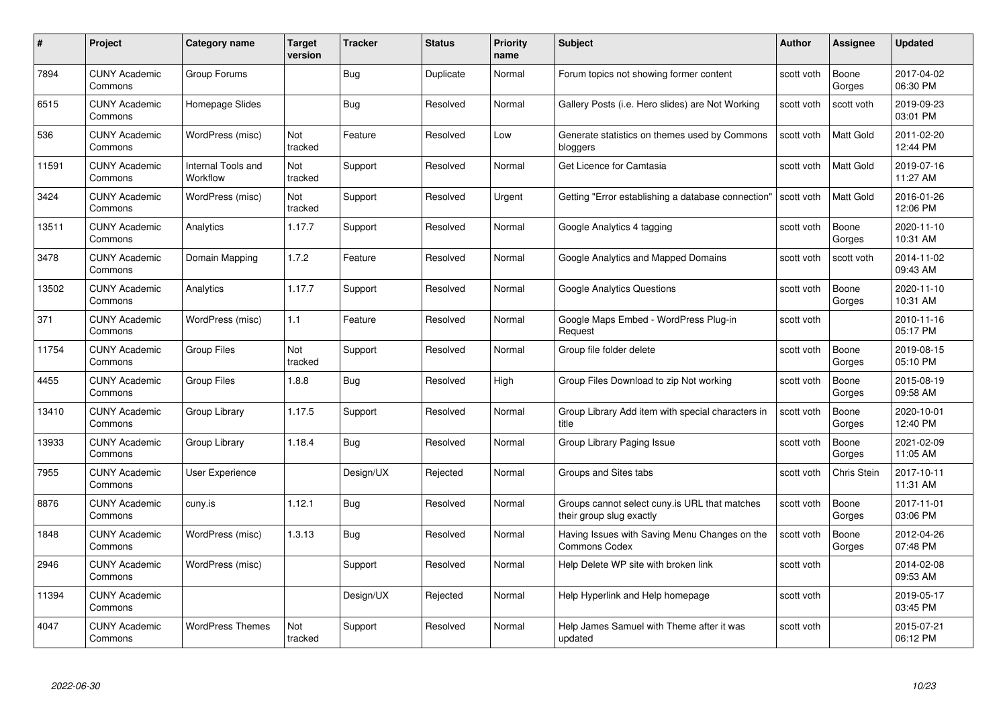| #     | Project                         | <b>Category name</b>           | <b>Target</b><br>version | <b>Tracker</b> | <b>Status</b> | <b>Priority</b><br>name | <b>Subject</b>                                                            | <b>Author</b> | <b>Assignee</b>    | <b>Updated</b>         |
|-------|---------------------------------|--------------------------------|--------------------------|----------------|---------------|-------------------------|---------------------------------------------------------------------------|---------------|--------------------|------------------------|
| 7894  | <b>CUNY Academic</b><br>Commons | Group Forums                   |                          | Bug            | Duplicate     | Normal                  | Forum topics not showing former content                                   | scott voth    | Boone<br>Gorges    | 2017-04-02<br>06:30 PM |
| 6515  | <b>CUNY Academic</b><br>Commons | Homepage Slides                |                          | Bug            | Resolved      | Normal                  | Gallery Posts (i.e. Hero slides) are Not Working                          | scott voth    | scott voth         | 2019-09-23<br>03:01 PM |
| 536   | <b>CUNY Academic</b><br>Commons | WordPress (misc)               | Not<br>tracked           | Feature        | Resolved      | Low                     | Generate statistics on themes used by Commons<br>bloggers                 | scott voth    | <b>Matt Gold</b>   | 2011-02-20<br>12:44 PM |
| 11591 | <b>CUNY Academic</b><br>Commons | Internal Tools and<br>Workflow | Not<br>tracked           | Support        | Resolved      | Normal                  | Get Licence for Camtasia                                                  | scott voth    | Matt Gold          | 2019-07-16<br>11:27 AM |
| 3424  | <b>CUNY Academic</b><br>Commons | WordPress (misc)               | Not<br>tracked           | Support        | Resolved      | Urgent                  | Getting "Error establishing a database connection"                        | scott voth    | <b>Matt Gold</b>   | 2016-01-26<br>12:06 PM |
| 13511 | <b>CUNY Academic</b><br>Commons | Analytics                      | 1.17.7                   | Support        | Resolved      | Normal                  | Google Analytics 4 tagging                                                | scott voth    | Boone<br>Gorges    | 2020-11-10<br>10:31 AM |
| 3478  | <b>CUNY Academic</b><br>Commons | Domain Mapping                 | 1.7.2                    | Feature        | Resolved      | Normal                  | Google Analytics and Mapped Domains                                       | scott voth    | scott voth         | 2014-11-02<br>09:43 AM |
| 13502 | <b>CUNY Academic</b><br>Commons | Analytics                      | 1.17.7                   | Support        | Resolved      | Normal                  | <b>Google Analytics Questions</b>                                         | scott voth    | Boone<br>Gorges    | 2020-11-10<br>10:31 AM |
| 371   | <b>CUNY Academic</b><br>Commons | WordPress (misc)               | 1.1                      | Feature        | Resolved      | Normal                  | Google Maps Embed - WordPress Plug-in<br>Request                          | scott voth    |                    | 2010-11-16<br>05:17 PM |
| 11754 | <b>CUNY Academic</b><br>Commons | Group Files                    | Not<br>tracked           | Support        | Resolved      | Normal                  | Group file folder delete                                                  | scott voth    | Boone<br>Gorges    | 2019-08-15<br>05:10 PM |
| 4455  | <b>CUNY Academic</b><br>Commons | <b>Group Files</b>             | 1.8.8                    | <b>Bug</b>     | Resolved      | High                    | Group Files Download to zip Not working                                   | scott voth    | Boone<br>Gorges    | 2015-08-19<br>09:58 AM |
| 13410 | <b>CUNY Academic</b><br>Commons | Group Library                  | 1.17.5                   | Support        | Resolved      | Normal                  | Group Library Add item with special characters in<br>title                | scott voth    | Boone<br>Gorges    | 2020-10-01<br>12:40 PM |
| 13933 | <b>CUNY Academic</b><br>Commons | Group Library                  | 1.18.4                   | <b>Bug</b>     | Resolved      | Normal                  | Group Library Paging Issue                                                | scott voth    | Boone<br>Gorges    | 2021-02-09<br>11:05 AM |
| 7955  | <b>CUNY Academic</b><br>Commons | <b>User Experience</b>         |                          | Design/UX      | Rejected      | Normal                  | Groups and Sites tabs                                                     | scott voth    | <b>Chris Stein</b> | 2017-10-11<br>11:31 AM |
| 8876  | <b>CUNY Academic</b><br>Commons | cuny.is                        | 1.12.1                   | <b>Bug</b>     | Resolved      | Normal                  | Groups cannot select cuny is URL that matches<br>their group slug exactly | scott voth    | Boone<br>Gorges    | 2017-11-01<br>03:06 PM |
| 1848  | <b>CUNY Academic</b><br>Commons | WordPress (misc)               | 1.3.13                   | <b>Bug</b>     | Resolved      | Normal                  | Having Issues with Saving Menu Changes on the<br><b>Commons Codex</b>     | scott voth    | Boone<br>Gorges    | 2012-04-26<br>07:48 PM |
| 2946  | <b>CUNY Academic</b><br>Commons | WordPress (misc)               |                          | Support        | Resolved      | Normal                  | Help Delete WP site with broken link                                      | scott voth    |                    | 2014-02-08<br>09:53 AM |
| 11394 | <b>CUNY Academic</b><br>Commons |                                |                          | Design/UX      | Rejected      | Normal                  | Help Hyperlink and Help homepage                                          | scott voth    |                    | 2019-05-17<br>03:45 PM |
| 4047  | CUNY Academic<br>Commons        | <b>WordPress Themes</b>        | Not<br>tracked           | Support        | Resolved      | Normal                  | Help James Samuel with Theme after it was<br>updated                      | scott voth    |                    | 2015-07-21<br>06:12 PM |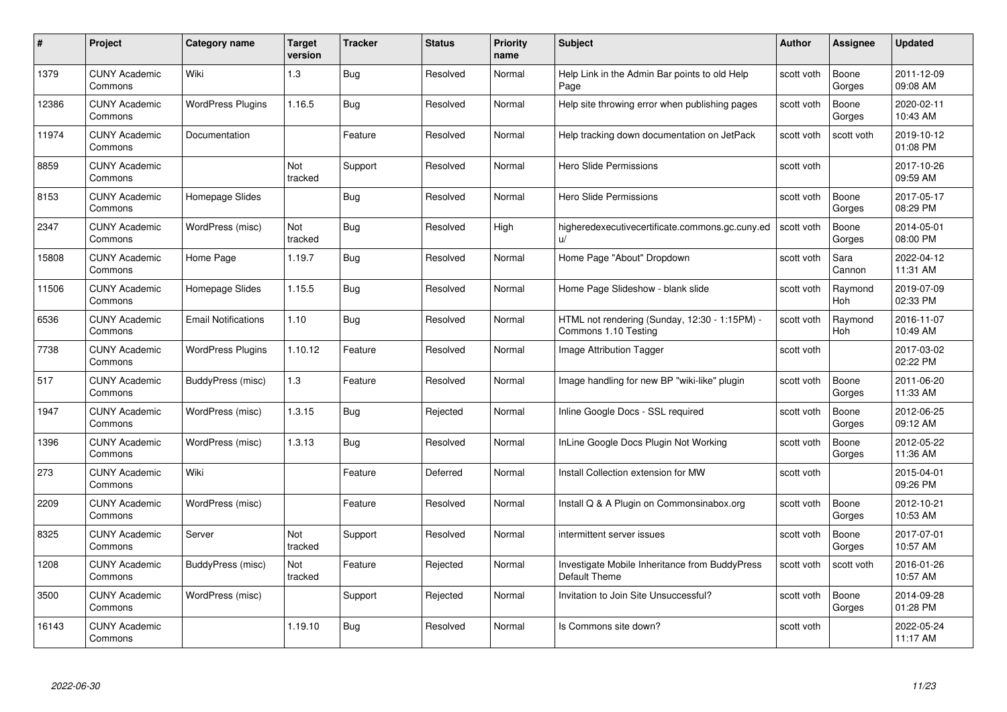| #     | Project                         | <b>Category name</b>       | Target<br>version | <b>Tracker</b> | <b>Status</b> | <b>Priority</b><br>name | <b>Subject</b>                                                        | <b>Author</b> | <b>Assignee</b>       | <b>Updated</b>         |
|-------|---------------------------------|----------------------------|-------------------|----------------|---------------|-------------------------|-----------------------------------------------------------------------|---------------|-----------------------|------------------------|
| 1379  | <b>CUNY Academic</b><br>Commons | Wiki                       | $1.3$             | Bug            | Resolved      | Normal                  | Help Link in the Admin Bar points to old Help<br>Page                 | scott voth    | Boone<br>Gorges       | 2011-12-09<br>09:08 AM |
| 12386 | <b>CUNY Academic</b><br>Commons | <b>WordPress Plugins</b>   | 1.16.5            | Bug            | Resolved      | Normal                  | Help site throwing error when publishing pages                        | scott voth    | Boone<br>Gorges       | 2020-02-11<br>10:43 AM |
| 11974 | <b>CUNY Academic</b><br>Commons | Documentation              |                   | Feature        | Resolved      | Normal                  | Help tracking down documentation on JetPack                           | scott voth    | scott voth            | 2019-10-12<br>01:08 PM |
| 8859  | <b>CUNY Academic</b><br>Commons |                            | Not<br>tracked    | Support        | Resolved      | Normal                  | <b>Hero Slide Permissions</b>                                         | scott voth    |                       | 2017-10-26<br>09:59 AM |
| 8153  | <b>CUNY Academic</b><br>Commons | Homepage Slides            |                   | Bug            | Resolved      | Normal                  | Hero Slide Permissions                                                | scott voth    | Boone<br>Gorges       | 2017-05-17<br>08:29 PM |
| 2347  | <b>CUNY Academic</b><br>Commons | WordPress (misc)           | Not<br>tracked    | Bug            | Resolved      | High                    | higheredexecutivecertificate.commons.gc.cuny.ed<br>u/                 | scott voth    | Boone<br>Gorges       | 2014-05-01<br>08:00 PM |
| 15808 | <b>CUNY Academic</b><br>Commons | Home Page                  | 1.19.7            | <b>Bug</b>     | Resolved      | Normal                  | Home Page "About" Dropdown                                            | scott voth    | Sara<br>Cannon        | 2022-04-12<br>11:31 AM |
| 11506 | <b>CUNY Academic</b><br>Commons | Homepage Slides            | 1.15.5            | Bug            | Resolved      | Normal                  | Home Page Slideshow - blank slide                                     | scott voth    | Raymond<br>Hoh        | 2019-07-09<br>02:33 PM |
| 6536  | <b>CUNY Academic</b><br>Commons | <b>Email Notifications</b> | 1.10              | Bug            | Resolved      | Normal                  | HTML not rendering (Sunday, 12:30 - 1:15PM) -<br>Commons 1.10 Testing | scott voth    | Raymond<br><b>Hoh</b> | 2016-11-07<br>10:49 AM |
| 7738  | <b>CUNY Academic</b><br>Commons | <b>WordPress Plugins</b>   | 1.10.12           | Feature        | Resolved      | Normal                  | Image Attribution Tagger                                              | scott voth    |                       | 2017-03-02<br>02:22 PM |
| 517   | <b>CUNY Academic</b><br>Commons | BuddyPress (misc)          | 1.3               | Feature        | Resolved      | Normal                  | Image handling for new BP "wiki-like" plugin                          | scott voth    | Boone<br>Gorges       | 2011-06-20<br>11:33 AM |
| 1947  | <b>CUNY Academic</b><br>Commons | WordPress (misc)           | 1.3.15            | Bug            | Rejected      | Normal                  | Inline Google Docs - SSL required                                     | scott voth    | Boone<br>Gorges       | 2012-06-25<br>09:12 AM |
| 1396  | <b>CUNY Academic</b><br>Commons | WordPress (misc)           | 1.3.13            | <b>Bug</b>     | Resolved      | Normal                  | InLine Google Docs Plugin Not Working                                 | scott voth    | Boone<br>Gorges       | 2012-05-22<br>11:36 AM |
| 273   | <b>CUNY Academic</b><br>Commons | Wiki                       |                   | Feature        | Deferred      | Normal                  | Install Collection extension for MW                                   | scott voth    |                       | 2015-04-01<br>09:26 PM |
| 2209  | CUNY Academic<br>Commons        | WordPress (misc)           |                   | Feature        | Resolved      | Normal                  | Install Q & A Plugin on Commonsinabox.org                             | scott voth    | Boone<br>Gorges       | 2012-10-21<br>10:53 AM |
| 8325  | <b>CUNY Academic</b><br>Commons | Server                     | Not<br>tracked    | Support        | Resolved      | Normal                  | intermittent server issues                                            | scott voth    | Boone<br>Gorges       | 2017-07-01<br>10:57 AM |
| 1208  | <b>CUNY Academic</b><br>Commons | BuddyPress (misc)          | Not<br>tracked    | Feature        | Rejected      | Normal                  | Investigate Mobile Inheritance from BuddyPress<br>Default Theme       | scott voth    | scott voth            | 2016-01-26<br>10:57 AM |
| 3500  | <b>CUNY Academic</b><br>Commons | WordPress (misc)           |                   | Support        | Rejected      | Normal                  | Invitation to Join Site Unsuccessful?                                 | scott voth    | Boone<br>Gorges       | 2014-09-28<br>01:28 PM |
| 16143 | CUNY Academic<br>Commons        |                            | 1.19.10           | Bug            | Resolved      | Normal                  | Is Commons site down?                                                 | scott voth    |                       | 2022-05-24<br>11:17 AM |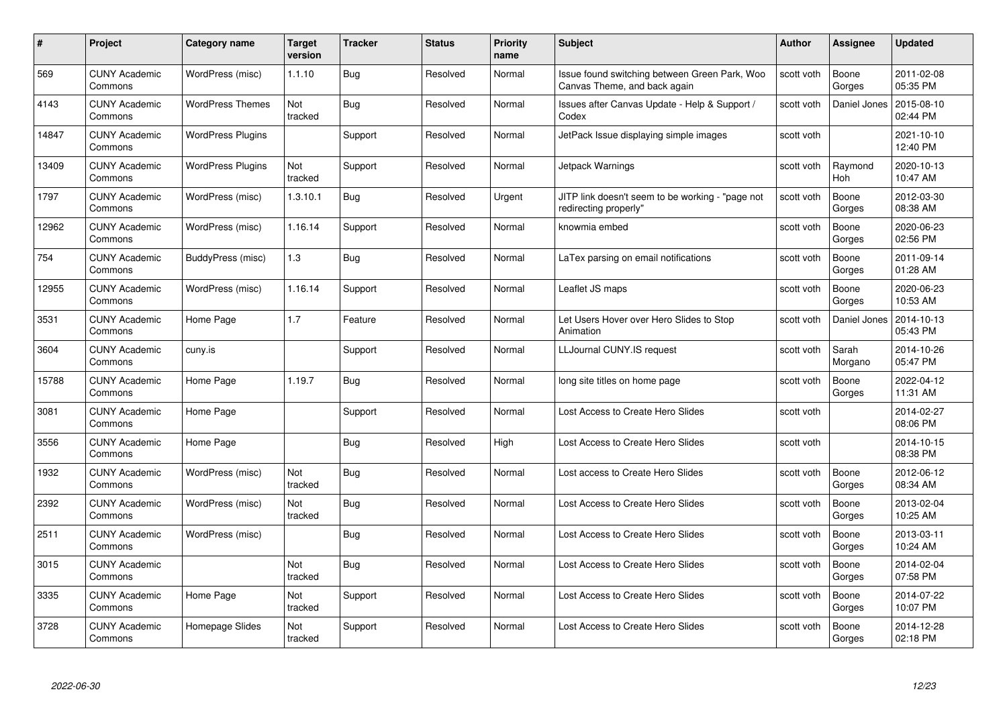| #     | Project                         | <b>Category name</b>     | Target<br>version | <b>Tracker</b> | <b>Status</b> | <b>Priority</b><br>name | <b>Subject</b>                                                                | <b>Author</b> | <b>Assignee</b>  | <b>Updated</b>         |
|-------|---------------------------------|--------------------------|-------------------|----------------|---------------|-------------------------|-------------------------------------------------------------------------------|---------------|------------------|------------------------|
| 569   | <b>CUNY Academic</b><br>Commons | WordPress (misc)         | 1.1.10            | Bug            | Resolved      | Normal                  | Issue found switching between Green Park, Woo<br>Canvas Theme, and back again | scott voth    | Boone<br>Gorges  | 2011-02-08<br>05:35 PM |
| 4143  | <b>CUNY Academic</b><br>Commons | <b>WordPress Themes</b>  | Not<br>tracked    | Bug            | Resolved      | Normal                  | Issues after Canvas Update - Help & Support /<br>Codex                        | scott voth    | Daniel Jones     | 2015-08-10<br>02:44 PM |
| 14847 | <b>CUNY Academic</b><br>Commons | <b>WordPress Plugins</b> |                   | Support        | Resolved      | Normal                  | JetPack Issue displaying simple images                                        | scott voth    |                  | 2021-10-10<br>12:40 PM |
| 13409 | <b>CUNY Academic</b><br>Commons | <b>WordPress Plugins</b> | Not<br>tracked    | Support        | Resolved      | Normal                  | Jetpack Warnings                                                              | scott voth    | Raymond<br>Hoh   | 2020-10-13<br>10:47 AM |
| 1797  | <b>CUNY Academic</b><br>Commons | WordPress (misc)         | 1.3.10.1          | Bug            | Resolved      | Urgent                  | JITP link doesn't seem to be working - "page not<br>redirecting properly"     | scott voth    | Boone<br>Gorges  | 2012-03-30<br>08:38 AM |
| 12962 | <b>CUNY Academic</b><br>Commons | WordPress (misc)         | 1.16.14           | Support        | Resolved      | Normal                  | knowmia embed                                                                 | scott voth    | Boone<br>Gorges  | 2020-06-23<br>02:56 PM |
| 754   | <b>CUNY Academic</b><br>Commons | BuddyPress (misc)        | $1.3$             | Bug            | Resolved      | Normal                  | LaTex parsing on email notifications                                          | scott voth    | Boone<br>Gorges  | 2011-09-14<br>01:28 AM |
| 12955 | <b>CUNY Academic</b><br>Commons | WordPress (misc)         | 1.16.14           | Support        | Resolved      | Normal                  | Leaflet JS maps                                                               | scott voth    | Boone<br>Gorges  | 2020-06-23<br>10:53 AM |
| 3531  | <b>CUNY Academic</b><br>Commons | Home Page                | 1.7               | Feature        | Resolved      | Normal                  | Let Users Hover over Hero Slides to Stop<br>Animation                         | scott voth    | Daniel Jones     | 2014-10-13<br>05:43 PM |
| 3604  | <b>CUNY Academic</b><br>Commons | cuny.is                  |                   | Support        | Resolved      | Normal                  | LLJournal CUNY.IS request                                                     | scott voth    | Sarah<br>Morgano | 2014-10-26<br>05:47 PM |
| 15788 | CUNY Academic<br>Commons        | Home Page                | 1.19.7            | <b>Bug</b>     | Resolved      | Normal                  | long site titles on home page                                                 | scott voth    | Boone<br>Gorges  | 2022-04-12<br>11:31 AM |
| 3081  | <b>CUNY Academic</b><br>Commons | Home Page                |                   | Support        | Resolved      | Normal                  | Lost Access to Create Hero Slides                                             | scott voth    |                  | 2014-02-27<br>08:06 PM |
| 3556  | <b>CUNY Academic</b><br>Commons | Home Page                |                   | Bug            | Resolved      | High                    | Lost Access to Create Hero Slides                                             | scott voth    |                  | 2014-10-15<br>08:38 PM |
| 1932  | <b>CUNY Academic</b><br>Commons | WordPress (misc)         | Not<br>tracked    | <b>Bug</b>     | Resolved      | Normal                  | Lost access to Create Hero Slides                                             | scott voth    | Boone<br>Gorges  | 2012-06-12<br>08:34 AM |
| 2392  | <b>CUNY Academic</b><br>Commons | WordPress (misc)         | Not<br>tracked    | Bug            | Resolved      | Normal                  | Lost Access to Create Hero Slides                                             | scott voth    | Boone<br>Gorges  | 2013-02-04<br>10:25 AM |
| 2511  | <b>CUNY Academic</b><br>Commons | WordPress (misc)         |                   | Bug            | Resolved      | Normal                  | Lost Access to Create Hero Slides                                             | scott voth    | Boone<br>Gorges  | 2013-03-11<br>10:24 AM |
| 3015  | <b>CUNY Academic</b><br>Commons |                          | Not<br>tracked    | <b>Bug</b>     | Resolved      | Normal                  | Lost Access to Create Hero Slides                                             | scott voth    | Boone<br>Gorges  | 2014-02-04<br>07:58 PM |
| 3335  | <b>CUNY Academic</b><br>Commons | Home Page                | Not<br>tracked    | Support        | Resolved      | Normal                  | Lost Access to Create Hero Slides                                             | scott voth    | Boone<br>Gorges  | 2014-07-22<br>10:07 PM |
| 3728  | CUNY Academic<br>Commons        | Homepage Slides          | Not<br>tracked    | Support        | Resolved      | Normal                  | Lost Access to Create Hero Slides                                             | scott voth    | Boone<br>Gorges  | 2014-12-28<br>02:18 PM |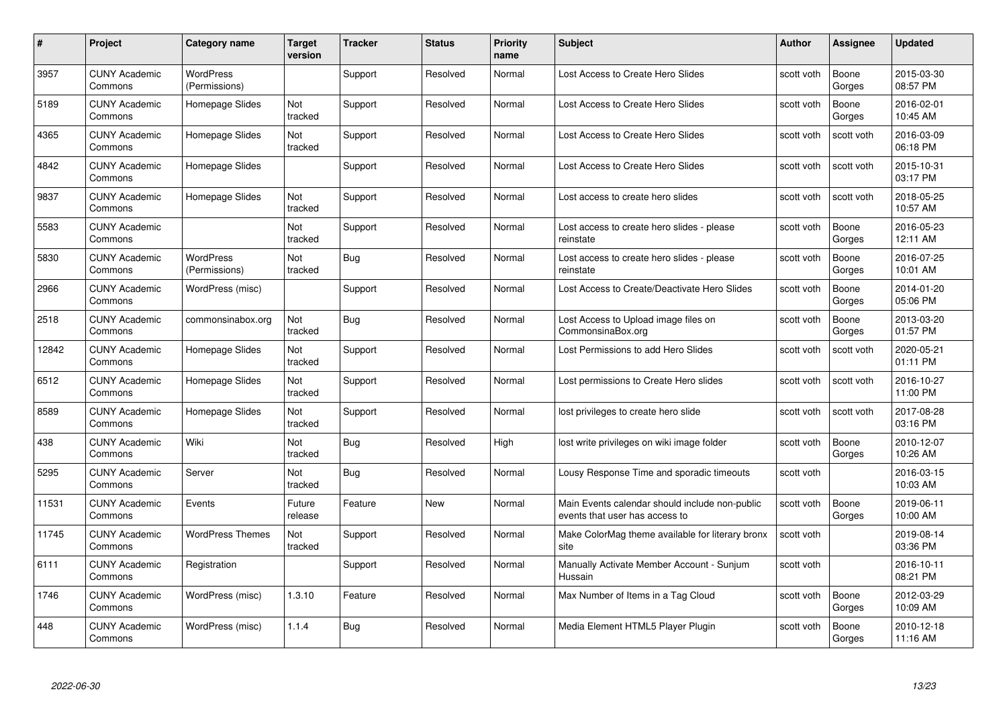| #     | Project                         | <b>Category name</b>              | Target<br>version | <b>Tracker</b> | <b>Status</b> | <b>Priority</b><br>name | <b>Subject</b>                                                                   | Author     | <b>Assignee</b> | <b>Updated</b>         |
|-------|---------------------------------|-----------------------------------|-------------------|----------------|---------------|-------------------------|----------------------------------------------------------------------------------|------------|-----------------|------------------------|
| 3957  | <b>CUNY Academic</b><br>Commons | <b>WordPress</b><br>(Permissions) |                   | Support        | Resolved      | Normal                  | Lost Access to Create Hero Slides                                                | scott voth | Boone<br>Gorges | 2015-03-30<br>08:57 PM |
| 5189  | <b>CUNY Academic</b><br>Commons | Homepage Slides                   | Not<br>tracked    | Support        | Resolved      | Normal                  | Lost Access to Create Hero Slides                                                | scott voth | Boone<br>Gorges | 2016-02-01<br>10:45 AM |
| 4365  | <b>CUNY Academic</b><br>Commons | Homepage Slides                   | Not<br>tracked    | Support        | Resolved      | Normal                  | Lost Access to Create Hero Slides                                                | scott voth | scott voth      | 2016-03-09<br>06:18 PM |
| 4842  | <b>CUNY Academic</b><br>Commons | Homepage Slides                   |                   | Support        | Resolved      | Normal                  | Lost Access to Create Hero Slides                                                | scott voth | scott voth      | 2015-10-31<br>03:17 PM |
| 9837  | <b>CUNY Academic</b><br>Commons | Homepage Slides                   | Not<br>tracked    | Support        | Resolved      | Normal                  | Lost access to create hero slides                                                | scott voth | scott voth      | 2018-05-25<br>10:57 AM |
| 5583  | <b>CUNY Academic</b><br>Commons |                                   | Not<br>tracked    | Support        | Resolved      | Normal                  | Lost access to create hero slides - please<br>reinstate                          | scott voth | Boone<br>Gorges | 2016-05-23<br>12:11 AM |
| 5830  | <b>CUNY Academic</b><br>Commons | <b>WordPress</b><br>(Permissions) | Not<br>tracked    | Bug            | Resolved      | Normal                  | Lost access to create hero slides - please<br>reinstate                          | scott voth | Boone<br>Gorges | 2016-07-25<br>10:01 AM |
| 2966  | <b>CUNY Academic</b><br>Commons | WordPress (misc)                  |                   | Support        | Resolved      | Normal                  | Lost Access to Create/Deactivate Hero Slides                                     | scott voth | Boone<br>Gorges | 2014-01-20<br>05:06 PM |
| 2518  | <b>CUNY Academic</b><br>Commons | commonsinabox.org                 | Not<br>tracked    | Bug            | Resolved      | Normal                  | Lost Access to Upload image files on<br>CommonsinaBox.org                        | scott voth | Boone<br>Gorges | 2013-03-20<br>01:57 PM |
| 12842 | <b>CUNY Academic</b><br>Commons | Homepage Slides                   | Not<br>tracked    | Support        | Resolved      | Normal                  | Lost Permissions to add Hero Slides                                              | scott voth | scott voth      | 2020-05-21<br>01:11 PM |
| 6512  | <b>CUNY Academic</b><br>Commons | Homepage Slides                   | Not<br>tracked    | Support        | Resolved      | Normal                  | Lost permissions to Create Hero slides                                           | scott voth | scott voth      | 2016-10-27<br>11:00 PM |
| 8589  | <b>CUNY Academic</b><br>Commons | Homepage Slides                   | Not<br>tracked    | Support        | Resolved      | Normal                  | lost privileges to create hero slide                                             | scott voth | scott voth      | 2017-08-28<br>03:16 PM |
| 438   | <b>CUNY Academic</b><br>Commons | Wiki                              | Not<br>tracked    | <b>Bug</b>     | Resolved      | High                    | lost write privileges on wiki image folder                                       | scott voth | Boone<br>Gorges | 2010-12-07<br>10:26 AM |
| 5295  | <b>CUNY Academic</b><br>Commons | Server                            | Not<br>tracked    | <b>Bug</b>     | Resolved      | Normal                  | Lousy Response Time and sporadic timeouts                                        | scott voth |                 | 2016-03-15<br>10:03 AM |
| 11531 | <b>CUNY Academic</b><br>Commons | Events                            | Future<br>release | Feature        | New           | Normal                  | Main Events calendar should include non-public<br>events that user has access to | scott voth | Boone<br>Gorges | 2019-06-11<br>10:00 AM |
| 11745 | <b>CUNY Academic</b><br>Commons | <b>WordPress Themes</b>           | Not<br>tracked    | Support        | Resolved      | Normal                  | Make ColorMag theme available for literary bronx<br>site                         | scott voth |                 | 2019-08-14<br>03:36 PM |
| 6111  | <b>CUNY Academic</b><br>Commons | Registration                      |                   | Support        | Resolved      | Normal                  | Manually Activate Member Account - Sunjum<br>Hussain                             | scott voth |                 | 2016-10-11<br>08:21 PM |
| 1746  | <b>CUNY Academic</b><br>Commons | WordPress (misc)                  | 1.3.10            | Feature        | Resolved      | Normal                  | Max Number of Items in a Tag Cloud                                               | scott voth | Boone<br>Gorges | 2012-03-29<br>10:09 AM |
| 448   | <b>CUNY Academic</b><br>Commons | WordPress (misc)                  | 1.1.4             | <b>Bug</b>     | Resolved      | Normal                  | Media Element HTML5 Player Plugin                                                | scott voth | Boone<br>Gorges | 2010-12-18<br>11:16 AM |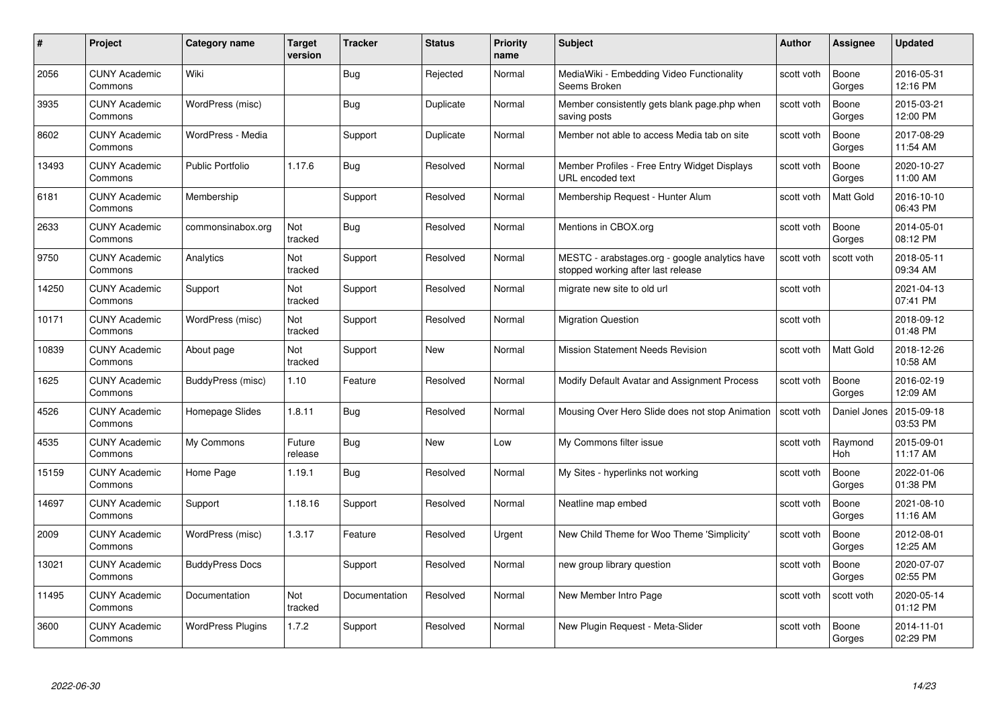| #     | Project                         | <b>Category name</b>     | Target<br>version | <b>Tracker</b> | <b>Status</b> | <b>Priority</b><br>name | <b>Subject</b>                                                                       | <b>Author</b> | <b>Assignee</b>  | <b>Updated</b>         |
|-------|---------------------------------|--------------------------|-------------------|----------------|---------------|-------------------------|--------------------------------------------------------------------------------------|---------------|------------------|------------------------|
| 2056  | <b>CUNY Academic</b><br>Commons | Wiki                     |                   | Bug            | Rejected      | Normal                  | MediaWiki - Embedding Video Functionality<br>Seems Broken                            | scott voth    | Boone<br>Gorges  | 2016-05-31<br>12:16 PM |
| 3935  | <b>CUNY Academic</b><br>Commons | WordPress (misc)         |                   | Bug            | Duplicate     | Normal                  | Member consistently gets blank page.php when<br>saving posts                         | scott voth    | Boone<br>Gorges  | 2015-03-21<br>12:00 PM |
| 8602  | <b>CUNY Academic</b><br>Commons | WordPress - Media        |                   | Support        | Duplicate     | Normal                  | Member not able to access Media tab on site                                          | scott voth    | Boone<br>Gorges  | 2017-08-29<br>11:54 AM |
| 13493 | <b>CUNY Academic</b><br>Commons | Public Portfolio         | 1.17.6            | Bug            | Resolved      | Normal                  | Member Profiles - Free Entry Widget Displays<br>URL encoded text                     | scott voth    | Boone<br>Gorges  | 2020-10-27<br>11:00 AM |
| 6181  | <b>CUNY Academic</b><br>Commons | Membership               |                   | Support        | Resolved      | Normal                  | Membership Request - Hunter Alum                                                     | scott voth    | <b>Matt Gold</b> | 2016-10-10<br>06:43 PM |
| 2633  | <b>CUNY Academic</b><br>Commons | commonsinabox.org        | Not<br>tracked    | Bug            | Resolved      | Normal                  | Mentions in CBOX.org                                                                 | scott voth    | Boone<br>Gorges  | 2014-05-01<br>08:12 PM |
| 9750  | <b>CUNY Academic</b><br>Commons | Analytics                | Not<br>tracked    | Support        | Resolved      | Normal                  | MESTC - arabstages.org - google analytics have<br>stopped working after last release | scott voth    | scott voth       | 2018-05-11<br>09:34 AM |
| 14250 | <b>CUNY Academic</b><br>Commons | Support                  | Not<br>tracked    | Support        | Resolved      | Normal                  | migrate new site to old url                                                          | scott voth    |                  | 2021-04-13<br>07:41 PM |
| 10171 | <b>CUNY Academic</b><br>Commons | WordPress (misc)         | Not<br>tracked    | Support        | Resolved      | Normal                  | <b>Migration Question</b>                                                            | scott voth    |                  | 2018-09-12<br>01:48 PM |
| 10839 | <b>CUNY Academic</b><br>Commons | About page               | Not<br>tracked    | Support        | New           | Normal                  | <b>Mission Statement Needs Revision</b>                                              | scott voth    | Matt Gold        | 2018-12-26<br>10:58 AM |
| 1625  | CUNY Academic<br>Commons        | BuddyPress (misc)        | 1.10              | Feature        | Resolved      | Normal                  | Modify Default Avatar and Assignment Process                                         | scott voth    | Boone<br>Gorges  | 2016-02-19<br>12:09 AM |
| 4526  | <b>CUNY Academic</b><br>Commons | Homepage Slides          | 1.8.11            | <b>Bug</b>     | Resolved      | Normal                  | Mousing Over Hero Slide does not stop Animation                                      | scott voth    | Daniel Jones     | 2015-09-18<br>03:53 PM |
| 4535  | <b>CUNY Academic</b><br>Commons | My Commons               | Future<br>release | Bug            | New           | Low                     | My Commons filter issue                                                              | scott voth    | Raymond<br>Hoh   | 2015-09-01<br>11:17 AM |
| 15159 | <b>CUNY Academic</b><br>Commons | Home Page                | 1.19.1            | Bug            | Resolved      | Normal                  | My Sites - hyperlinks not working                                                    | scott voth    | Boone<br>Gorges  | 2022-01-06<br>01:38 PM |
| 14697 | <b>CUNY Academic</b><br>Commons | Support                  | 1.18.16           | Support        | Resolved      | Normal                  | Neatline map embed                                                                   | scott voth    | Boone<br>Gorges  | 2021-08-10<br>11:16 AM |
| 2009  | <b>CUNY Academic</b><br>Commons | WordPress (misc)         | 1.3.17            | Feature        | Resolved      | Urgent                  | New Child Theme for Woo Theme 'Simplicity'                                           | scott voth    | Boone<br>Gorges  | 2012-08-01<br>12:25 AM |
| 13021 | <b>CUNY Academic</b><br>Commons | <b>BuddyPress Docs</b>   |                   | Support        | Resolved      | Normal                  | new group library question                                                           | scott voth    | Boone<br>Gorges  | 2020-07-07<br>02:55 PM |
| 11495 | <b>CUNY Academic</b><br>Commons | Documentation            | Not<br>tracked    | Documentation  | Resolved      | Normal                  | New Member Intro Page                                                                | scott voth    | scott voth       | 2020-05-14<br>01:12 PM |
| 3600  | CUNY Academic<br>Commons        | <b>WordPress Plugins</b> | 1.7.2             | Support        | Resolved      | Normal                  | New Plugin Request - Meta-Slider                                                     | scott voth    | Boone<br>Gorges  | 2014-11-01<br>02:29 PM |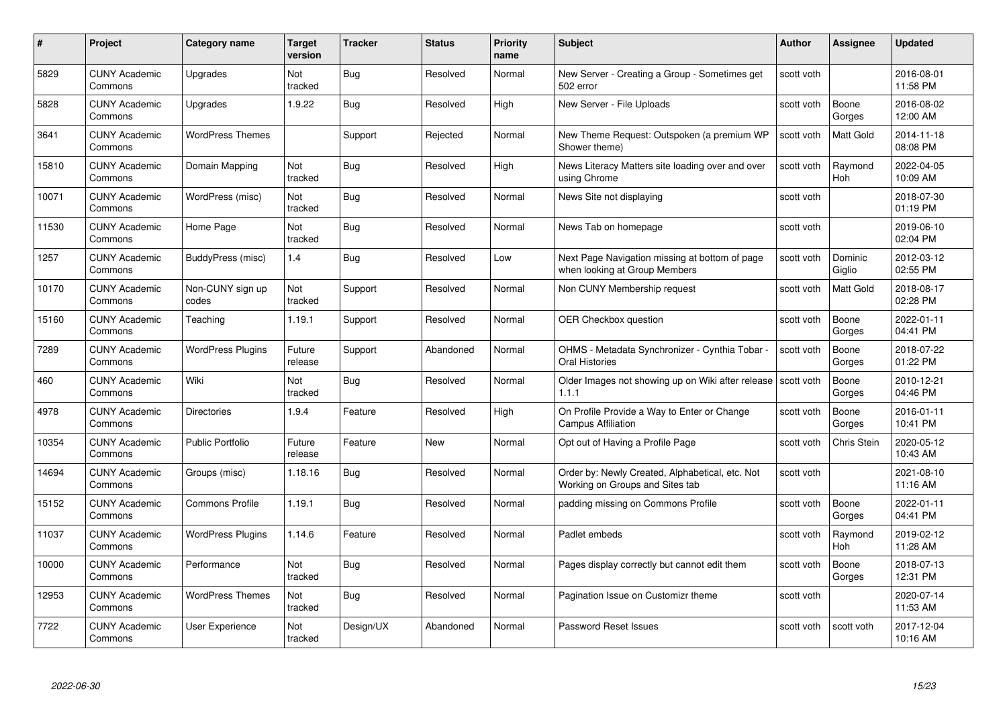| #     | Project                         | <b>Category name</b>      | Target<br>version     | <b>Tracker</b> | <b>Status</b> | <b>Priority</b><br>name | <b>Subject</b>                                                                     | <b>Author</b> | <b>Assignee</b>       | <b>Updated</b>         |
|-------|---------------------------------|---------------------------|-----------------------|----------------|---------------|-------------------------|------------------------------------------------------------------------------------|---------------|-----------------------|------------------------|
| 5829  | <b>CUNY Academic</b><br>Commons | Upgrades                  | Not<br>tracked        | Bug            | Resolved      | Normal                  | New Server - Creating a Group - Sometimes get<br>502 error                         | scott voth    |                       | 2016-08-01<br>11:58 PM |
| 5828  | <b>CUNY Academic</b><br>Commons | Upgrades                  | 1.9.22                | <b>Bug</b>     | Resolved      | High                    | New Server - File Uploads                                                          | scott voth    | Boone<br>Gorges       | 2016-08-02<br>12:00 AM |
| 3641  | <b>CUNY Academic</b><br>Commons | <b>WordPress Themes</b>   |                       | Support        | Rejected      | Normal                  | New Theme Request: Outspoken (a premium WP<br>Shower theme)                        | scott voth    | Matt Gold             | 2014-11-18<br>08:08 PM |
| 15810 | <b>CUNY Academic</b><br>Commons | Domain Mapping            | <b>Not</b><br>tracked | Bug            | Resolved      | High                    | News Literacy Matters site loading over and over<br>using Chrome                   | scott voth    | Raymond<br>Hoh        | 2022-04-05<br>10:09 AM |
| 10071 | <b>CUNY Academic</b><br>Commons | WordPress (misc)          | Not<br>tracked        | Bug            | Resolved      | Normal                  | News Site not displaying                                                           | scott voth    |                       | 2018-07-30<br>01:19 PM |
| 11530 | <b>CUNY Academic</b><br>Commons | Home Page                 | <b>Not</b><br>tracked | <b>Bug</b>     | Resolved      | Normal                  | News Tab on homepage                                                               | scott voth    |                       | 2019-06-10<br>02:04 PM |
| 1257  | <b>CUNY Academic</b><br>Commons | BuddyPress (misc)         | 1.4                   | Bug            | Resolved      | Low                     | Next Page Navigation missing at bottom of page<br>when looking at Group Members    | scott voth    | Dominic<br>Giglio     | 2012-03-12<br>02:55 PM |
| 10170 | <b>CUNY Academic</b><br>Commons | Non-CUNY sign up<br>codes | Not<br>tracked        | Support        | Resolved      | Normal                  | Non CUNY Membership request                                                        | scott voth    | <b>Matt Gold</b>      | 2018-08-17<br>02:28 PM |
| 15160 | <b>CUNY Academic</b><br>Commons | Teaching                  | 1.19.1                | Support        | Resolved      | Normal                  | <b>OER Checkbox question</b>                                                       | scott voth    | Boone<br>Gorges       | 2022-01-11<br>04:41 PM |
| 7289  | <b>CUNY Academic</b><br>Commons | <b>WordPress Plugins</b>  | Future<br>release     | Support        | Abandoned     | Normal                  | OHMS - Metadata Synchronizer - Cynthia Tobar<br>Oral Histories                     | scott voth    | Boone<br>Gorges       | 2018-07-22<br>01:22 PM |
| 460   | CUNY Academic<br>Commons        | Wiki                      | Not<br>tracked        | Bug            | Resolved      | Normal                  | Older Images not showing up on Wiki after release Scott voth<br>1.1.1              |               | Boone<br>Gorges       | 2010-12-21<br>04:46 PM |
| 4978  | <b>CUNY Academic</b><br>Commons | <b>Directories</b>        | 1.9.4                 | Feature        | Resolved      | High                    | On Profile Provide a Way to Enter or Change<br><b>Campus Affiliation</b>           | scott voth    | Boone<br>Gorges       | 2016-01-11<br>10:41 PM |
| 10354 | <b>CUNY Academic</b><br>Commons | <b>Public Portfolio</b>   | Future<br>release     | Feature        | New           | Normal                  | Opt out of Having a Profile Page                                                   | scott voth    | Chris Stein           | 2020-05-12<br>10:43 AM |
| 14694 | <b>CUNY Academic</b><br>Commons | Groups (misc)             | 1.18.16               | <b>Bug</b>     | Resolved      | Normal                  | Order by: Newly Created, Alphabetical, etc. Not<br>Working on Groups and Sites tab | scott voth    |                       | 2021-08-10<br>11:16 AM |
| 15152 | <b>CUNY Academic</b><br>Commons | <b>Commons Profile</b>    | 1.19.1                | Bug            | Resolved      | Normal                  | padding missing on Commons Profile                                                 | scott voth    | Boone<br>Gorges       | 2022-01-11<br>04:41 PM |
| 11037 | <b>CUNY Academic</b><br>Commons | <b>WordPress Plugins</b>  | 1.14.6                | Feature        | Resolved      | Normal                  | Padlet embeds                                                                      | scott voth    | Raymond<br><b>Hoh</b> | 2019-02-12<br>11:28 AM |
| 10000 | <b>CUNY Academic</b><br>Commons | Performance               | Not<br>tracked        | <b>Bug</b>     | Resolved      | Normal                  | Pages display correctly but cannot edit them                                       | scott voth    | Boone<br>Gorges       | 2018-07-13<br>12:31 PM |
| 12953 | <b>CUNY Academic</b><br>Commons | <b>WordPress Themes</b>   | Not<br>tracked        | Bug            | Resolved      | Normal                  | Pagination Issue on Customizr theme                                                | scott voth    |                       | 2020-07-14<br>11:53 AM |
| 7722  | <b>CUNY Academic</b><br>Commons | User Experience           | Not<br>tracked        | Design/UX      | Abandoned     | Normal                  | Password Reset Issues                                                              | scott voth    | scott voth            | 2017-12-04<br>10:16 AM |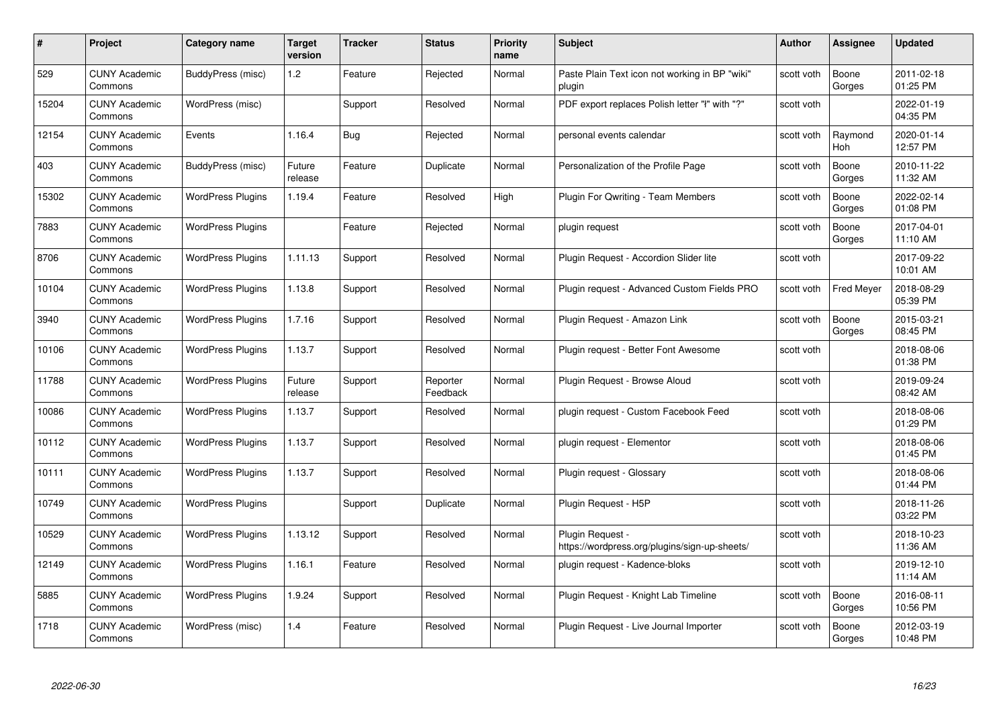| #     | Project                         | <b>Category name</b>     | Target<br>version | <b>Tracker</b> | <b>Status</b>        | <b>Priority</b><br>name | <b>Subject</b>                                                    | <b>Author</b> | <b>Assignee</b>   | <b>Updated</b>         |
|-------|---------------------------------|--------------------------|-------------------|----------------|----------------------|-------------------------|-------------------------------------------------------------------|---------------|-------------------|------------------------|
| 529   | <b>CUNY Academic</b><br>Commons | BuddyPress (misc)        | 1.2               | Feature        | Rejected             | Normal                  | Paste Plain Text icon not working in BP "wiki"<br>plugin          | scott voth    | Boone<br>Gorges   | 2011-02-18<br>01:25 PM |
| 15204 | <b>CUNY Academic</b><br>Commons | WordPress (misc)         |                   | Support        | Resolved             | Normal                  | PDF export replaces Polish letter "ł" with "?"                    | scott voth    |                   | 2022-01-19<br>04:35 PM |
| 12154 | <b>CUNY Academic</b><br>Commons | Events                   | 1.16.4            | Bug            | Rejected             | Normal                  | personal events calendar                                          | scott voth    | Raymond<br>Hoh    | 2020-01-14<br>12:57 PM |
| 403   | <b>CUNY Academic</b><br>Commons | BuddyPress (misc)        | Future<br>release | Feature        | Duplicate            | Normal                  | Personalization of the Profile Page                               | scott voth    | Boone<br>Gorges   | 2010-11-22<br>11:32 AM |
| 15302 | <b>CUNY Academic</b><br>Commons | <b>WordPress Plugins</b> | 1.19.4            | Feature        | Resolved             | High                    | <b>Plugin For Qwriting - Team Members</b>                         | scott voth    | Boone<br>Gorges   | 2022-02-14<br>01:08 PM |
| 7883  | <b>CUNY Academic</b><br>Commons | <b>WordPress Plugins</b> |                   | Feature        | Rejected             | Normal                  | plugin request                                                    | scott voth    | Boone<br>Gorges   | 2017-04-01<br>11:10 AM |
| 8706  | <b>CUNY Academic</b><br>Commons | <b>WordPress Plugins</b> | 1.11.13           | Support        | Resolved             | Normal                  | Plugin Request - Accordion Slider lite                            | scott voth    |                   | 2017-09-22<br>10:01 AM |
| 10104 | <b>CUNY Academic</b><br>Commons | <b>WordPress Plugins</b> | 1.13.8            | Support        | Resolved             | Normal                  | Plugin request - Advanced Custom Fields PRO                       | scott voth    | <b>Fred Meyer</b> | 2018-08-29<br>05:39 PM |
| 3940  | <b>CUNY Academic</b><br>Commons | <b>WordPress Plugins</b> | 1.7.16            | Support        | Resolved             | Normal                  | Plugin Request - Amazon Link                                      | scott voth    | Boone<br>Gorges   | 2015-03-21<br>08:45 PM |
| 10106 | <b>CUNY Academic</b><br>Commons | <b>WordPress Plugins</b> | 1.13.7            | Support        | Resolved             | Normal                  | Plugin reguest - Better Font Awesome                              | scott voth    |                   | 2018-08-06<br>01:38 PM |
| 11788 | CUNY Academic<br>Commons        | <b>WordPress Plugins</b> | Future<br>release | Support        | Reporter<br>Feedback | Normal                  | Plugin Request - Browse Aloud                                     | scott voth    |                   | 2019-09-24<br>08:42 AM |
| 10086 | <b>CUNY Academic</b><br>Commons | <b>WordPress Plugins</b> | 1.13.7            | Support        | Resolved             | Normal                  | plugin request - Custom Facebook Feed                             | scott voth    |                   | 2018-08-06<br>01:29 PM |
| 10112 | <b>CUNY Academic</b><br>Commons | <b>WordPress Plugins</b> | 1.13.7            | Support        | Resolved             | Normal                  | plugin request - Elementor                                        | scott voth    |                   | 2018-08-06<br>01:45 PM |
| 10111 | <b>CUNY Academic</b><br>Commons | <b>WordPress Plugins</b> | 1.13.7            | Support        | Resolved             | Normal                  | Plugin request - Glossary                                         | scott voth    |                   | 2018-08-06<br>01:44 PM |
| 10749 | <b>CUNY Academic</b><br>Commons | <b>WordPress Plugins</b> |                   | Support        | Duplicate            | Normal                  | Plugin Request - H5P                                              | scott voth    |                   | 2018-11-26<br>03:22 PM |
| 10529 | <b>CUNY Academic</b><br>Commons | <b>WordPress Plugins</b> | 1.13.12           | Support        | Resolved             | Normal                  | Plugin Request -<br>https://wordpress.org/plugins/sign-up-sheets/ | scott voth    |                   | 2018-10-23<br>11:36 AM |
| 12149 | <b>CUNY Academic</b><br>Commons | <b>WordPress Plugins</b> | 1.16.1            | Feature        | Resolved             | Normal                  | plugin request - Kadence-bloks                                    | scott voth    |                   | 2019-12-10<br>11:14 AM |
| 5885  | <b>CUNY Academic</b><br>Commons | <b>WordPress Plugins</b> | 1.9.24            | Support        | Resolved             | Normal                  | Plugin Request - Knight Lab Timeline                              | scott voth    | Boone<br>Gorges   | 2016-08-11<br>10:56 PM |
| 1718  | CUNY Academic<br>Commons        | WordPress (misc)         | 1.4               | Feature        | Resolved             | Normal                  | Plugin Request - Live Journal Importer                            | scott voth    | Boone<br>Gorges   | 2012-03-19<br>10:48 PM |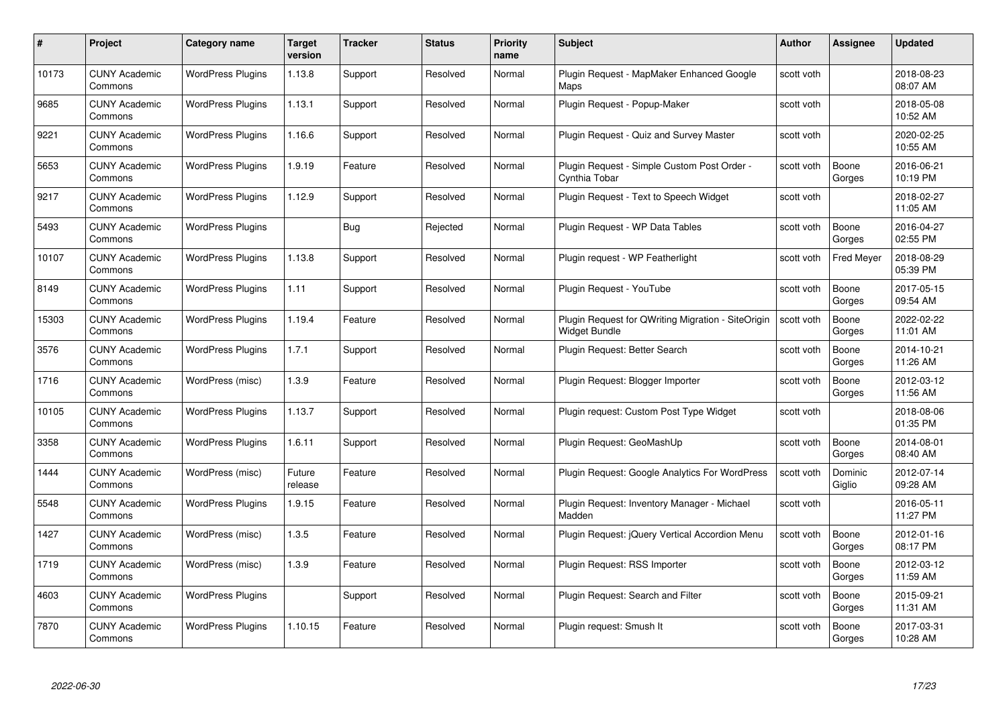| #     | Project                         | Category name            | Target<br>version | <b>Tracker</b> | <b>Status</b> | <b>Priority</b><br>name | <b>Subject</b>                                                             | <b>Author</b> | <b>Assignee</b>   | <b>Updated</b>         |
|-------|---------------------------------|--------------------------|-------------------|----------------|---------------|-------------------------|----------------------------------------------------------------------------|---------------|-------------------|------------------------|
| 10173 | <b>CUNY Academic</b><br>Commons | <b>WordPress Plugins</b> | 1.13.8            | Support        | Resolved      | Normal                  | Plugin Request - MapMaker Enhanced Google<br>Maps                          | scott voth    |                   | 2018-08-23<br>08:07 AM |
| 9685  | <b>CUNY Academic</b><br>Commons | <b>WordPress Plugins</b> | 1.13.1            | Support        | Resolved      | Normal                  | Plugin Request - Popup-Maker                                               | scott voth    |                   | 2018-05-08<br>10:52 AM |
| 9221  | <b>CUNY Academic</b><br>Commons | <b>WordPress Plugins</b> | 1.16.6            | Support        | Resolved      | Normal                  | Plugin Request - Quiz and Survey Master                                    | scott voth    |                   | 2020-02-25<br>10:55 AM |
| 5653  | <b>CUNY Academic</b><br>Commons | <b>WordPress Plugins</b> | 1.9.19            | Feature        | Resolved      | Normal                  | Plugin Request - Simple Custom Post Order -<br>Cynthia Tobar               | scott voth    | Boone<br>Gorges   | 2016-06-21<br>10:19 PM |
| 9217  | <b>CUNY Academic</b><br>Commons | <b>WordPress Plugins</b> | 1.12.9            | Support        | Resolved      | Normal                  | Plugin Request - Text to Speech Widget                                     | scott voth    |                   | 2018-02-27<br>11:05 AM |
| 5493  | <b>CUNY Academic</b><br>Commons | <b>WordPress Plugins</b> |                   | <b>Bug</b>     | Rejected      | Normal                  | Plugin Request - WP Data Tables                                            | scott voth    | Boone<br>Gorges   | 2016-04-27<br>02:55 PM |
| 10107 | <b>CUNY Academic</b><br>Commons | <b>WordPress Plugins</b> | 1.13.8            | Support        | Resolved      | Normal                  | Plugin request - WP Featherlight                                           | scott voth    | <b>Fred Meyer</b> | 2018-08-29<br>05:39 PM |
| 8149  | <b>CUNY Academic</b><br>Commons | <b>WordPress Plugins</b> | 1.11              | Support        | Resolved      | Normal                  | Plugin Request - YouTube                                                   | scott voth    | Boone<br>Gorges   | 2017-05-15<br>09:54 AM |
| 15303 | <b>CUNY Academic</b><br>Commons | <b>WordPress Plugins</b> | 1.19.4            | Feature        | Resolved      | Normal                  | Plugin Request for QWriting Migration - SiteOrigin<br><b>Widget Bundle</b> | scott voth    | Boone<br>Gorges   | 2022-02-22<br>11:01 AM |
| 3576  | <b>CUNY Academic</b><br>Commons | <b>WordPress Plugins</b> | 1.7.1             | Support        | Resolved      | Normal                  | Plugin Request: Better Search                                              | scott voth    | Boone<br>Gorges   | 2014-10-21<br>11:26 AM |
| 1716  | <b>CUNY Academic</b><br>Commons | WordPress (misc)         | 1.3.9             | Feature        | Resolved      | Normal                  | Plugin Request: Blogger Importer                                           | scott voth    | Boone<br>Gorges   | 2012-03-12<br>11:56 AM |
| 10105 | <b>CUNY Academic</b><br>Commons | <b>WordPress Plugins</b> | 1.13.7            | Support        | Resolved      | Normal                  | Plugin request: Custom Post Type Widget                                    | scott voth    |                   | 2018-08-06<br>01:35 PM |
| 3358  | <b>CUNY Academic</b><br>Commons | <b>WordPress Plugins</b> | 1.6.11            | Support        | Resolved      | Normal                  | Plugin Request: GeoMashUp                                                  | scott voth    | Boone<br>Gorges   | 2014-08-01<br>08:40 AM |
| 1444  | <b>CUNY Academic</b><br>Commons | WordPress (misc)         | Future<br>release | Feature        | Resolved      | Normal                  | Plugin Request: Google Analytics For WordPress                             | scott voth    | Dominic<br>Giglio | 2012-07-14<br>09:28 AM |
| 5548  | <b>CUNY Academic</b><br>Commons | <b>WordPress Plugins</b> | 1.9.15            | Feature        | Resolved      | Normal                  | Plugin Request: Inventory Manager - Michael<br>Madden                      | scott voth    |                   | 2016-05-11<br>11:27 PM |
| 1427  | <b>CUNY Academic</b><br>Commons | WordPress (misc)         | 1.3.5             | Feature        | Resolved      | Normal                  | Plugin Request: jQuery Vertical Accordion Menu                             | scott voth    | Boone<br>Gorges   | 2012-01-16<br>08:17 PM |
| 1719  | <b>CUNY Academic</b><br>Commons | WordPress (misc)         | 1.3.9             | Feature        | Resolved      | Normal                  | Plugin Request: RSS Importer                                               | scott voth    | Boone<br>Gorges   | 2012-03-12<br>11:59 AM |
| 4603  | <b>CUNY Academic</b><br>Commons | <b>WordPress Plugins</b> |                   | Support        | Resolved      | Normal                  | Plugin Request: Search and Filter                                          | scott voth    | Boone<br>Gorges   | 2015-09-21<br>11:31 AM |
| 7870  | CUNY Academic<br>Commons        | <b>WordPress Plugins</b> | 1.10.15           | Feature        | Resolved      | Normal                  | Plugin request: Smush It                                                   | scott voth    | Boone<br>Gorges   | 2017-03-31<br>10:28 AM |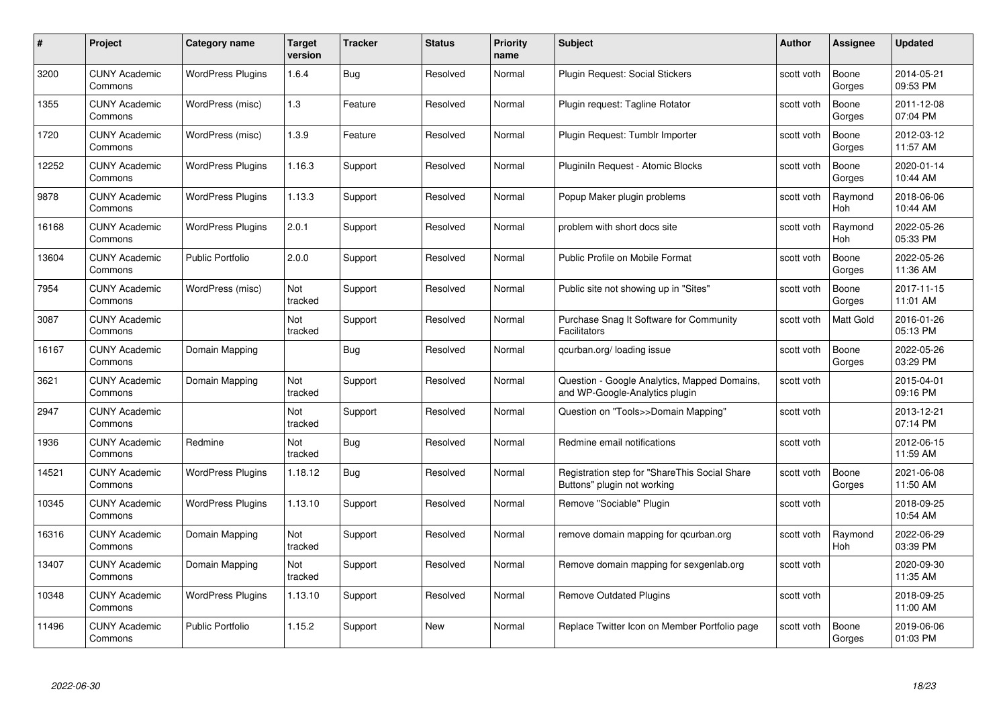| #     | Project                         | <b>Category name</b>     | Target<br>version | <b>Tracker</b> | <b>Status</b> | <b>Priority</b><br>name | <b>Subject</b>                                                                 | <b>Author</b> | <b>Assignee</b>  | <b>Updated</b>         |
|-------|---------------------------------|--------------------------|-------------------|----------------|---------------|-------------------------|--------------------------------------------------------------------------------|---------------|------------------|------------------------|
| 3200  | <b>CUNY Academic</b><br>Commons | <b>WordPress Plugins</b> | 1.6.4             | Bug            | Resolved      | Normal                  | Plugin Request: Social Stickers                                                | scott voth    | Boone<br>Gorges  | 2014-05-21<br>09:53 PM |
| 1355  | <b>CUNY Academic</b><br>Commons | WordPress (misc)         | 1.3               | Feature        | Resolved      | Normal                  | Plugin request: Tagline Rotator                                                | scott voth    | Boone<br>Gorges  | 2011-12-08<br>07:04 PM |
| 1720  | <b>CUNY Academic</b><br>Commons | WordPress (misc)         | 1.3.9             | Feature        | Resolved      | Normal                  | Plugin Request: Tumblr Importer                                                | scott voth    | Boone<br>Gorges  | 2012-03-12<br>11:57 AM |
| 12252 | <b>CUNY Academic</b><br>Commons | <b>WordPress Plugins</b> | 1.16.3            | Support        | Resolved      | Normal                  | Pluginiln Request - Atomic Blocks                                              | scott voth    | Boone<br>Gorges  | 2020-01-14<br>10:44 AM |
| 9878  | CUNY Academic<br>Commons        | <b>WordPress Plugins</b> | 1.13.3            | Support        | Resolved      | Normal                  | Popup Maker plugin problems                                                    | scott voth    | Raymond<br>Hoh   | 2018-06-06<br>10:44 AM |
| 16168 | <b>CUNY Academic</b><br>Commons | <b>WordPress Plugins</b> | 2.0.1             | Support        | Resolved      | Normal                  | problem with short docs site                                                   | scott voth    | Raymond<br>Hoh   | 2022-05-26<br>05:33 PM |
| 13604 | <b>CUNY Academic</b><br>Commons | <b>Public Portfolio</b>  | 2.0.0             | Support        | Resolved      | Normal                  | Public Profile on Mobile Format                                                | scott voth    | Boone<br>Gorges  | 2022-05-26<br>11:36 AM |
| 7954  | <b>CUNY Academic</b><br>Commons | WordPress (misc)         | Not<br>tracked    | Support        | Resolved      | Normal                  | Public site not showing up in "Sites"                                          | scott voth    | Boone<br>Gorges  | 2017-11-15<br>11:01 AM |
| 3087  | <b>CUNY Academic</b><br>Commons |                          | Not<br>tracked    | Support        | Resolved      | Normal                  | Purchase Snag It Software for Community<br><b>Facilitators</b>                 | scott voth    | <b>Matt Gold</b> | 2016-01-26<br>05:13 PM |
| 16167 | <b>CUNY Academic</b><br>Commons | Domain Mapping           |                   | Bug            | Resolved      | Normal                  | qcurban.org/loading issue                                                      | scott voth    | Boone<br>Gorges  | 2022-05-26<br>03:29 PM |
| 3621  | CUNY Academic<br>Commons        | Domain Mapping           | Not<br>tracked    | Support        | Resolved      | Normal                  | Question - Google Analytics, Mapped Domains,<br>and WP-Google-Analytics plugin | scott voth    |                  | 2015-04-01<br>09:16 PM |
| 2947  | <b>CUNY Academic</b><br>Commons |                          | Not<br>tracked    | Support        | Resolved      | Normal                  | Question on "Tools>>Domain Mapping"                                            | scott voth    |                  | 2013-12-21<br>07:14 PM |
| 1936  | <b>CUNY Academic</b><br>Commons | Redmine                  | Not<br>tracked    | Bug            | Resolved      | Normal                  | Redmine email notifications                                                    | scott voth    |                  | 2012-06-15<br>11:59 AM |
| 14521 | <b>CUNY Academic</b><br>Commons | <b>WordPress Plugins</b> | 1.18.12           | <b>Bug</b>     | Resolved      | Normal                  | Registration step for "ShareThis Social Share<br>Buttons" plugin not working   | scott voth    | Boone<br>Gorges  | 2021-06-08<br>11:50 AM |
| 10345 | <b>CUNY Academic</b><br>Commons | <b>WordPress Plugins</b> | 1.13.10           | Support        | Resolved      | Normal                  | Remove "Sociable" Plugin                                                       | scott voth    |                  | 2018-09-25<br>10:54 AM |
| 16316 | <b>CUNY Academic</b><br>Commons | Domain Mapping           | Not<br>tracked    | Support        | Resolved      | Normal                  | remove domain mapping for gcurban.org                                          | scott voth    | Raymond<br>Hoh   | 2022-06-29<br>03:39 PM |
| 13407 | <b>CUNY Academic</b><br>Commons | Domain Mapping           | Not<br>tracked    | Support        | Resolved      | Normal                  | Remove domain mapping for sexgenlab.org                                        | scott voth    |                  | 2020-09-30<br>11:35 AM |
| 10348 | <b>CUNY Academic</b><br>Commons | <b>WordPress Plugins</b> | 1.13.10           | Support        | Resolved      | Normal                  | <b>Remove Outdated Plugins</b>                                                 | scott voth    |                  | 2018-09-25<br>11:00 AM |
| 11496 | CUNY Academic<br>Commons        | <b>Public Portfolio</b>  | 1.15.2            | Support        | <b>New</b>    | Normal                  | Replace Twitter Icon on Member Portfolio page                                  | scott voth    | Boone<br>Gorges  | 2019-06-06<br>01:03 PM |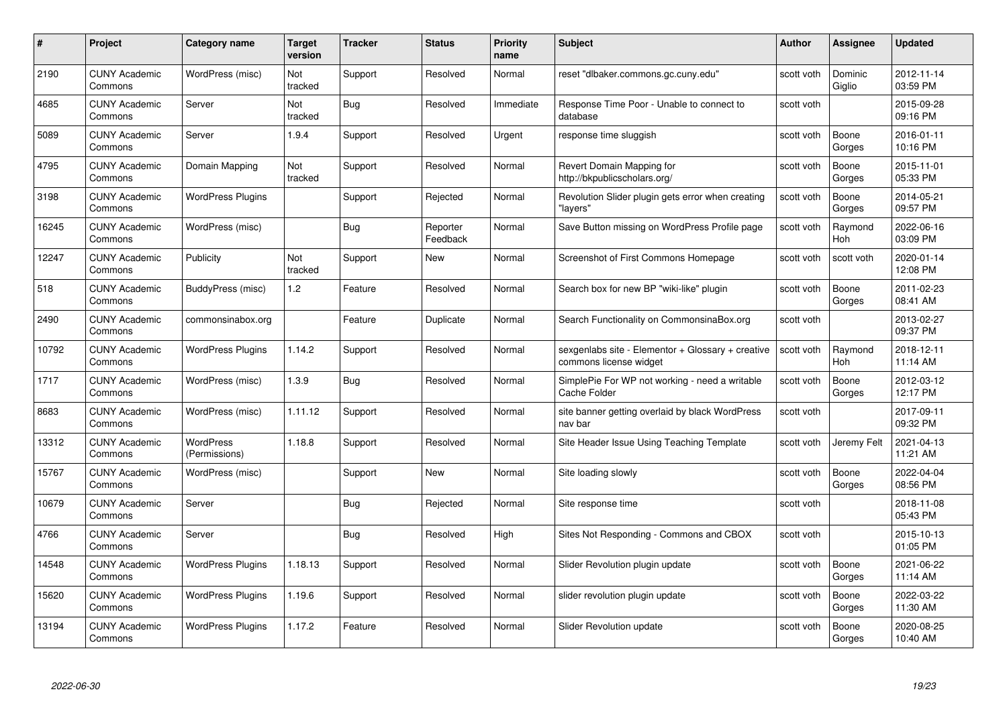| #     | Project                         | <b>Category name</b>       | Target<br>version     | <b>Tracker</b> | <b>Status</b>        | <b>Priority</b><br>name | <b>Subject</b>                                                              | Author     | Assignee              | <b>Updated</b>         |
|-------|---------------------------------|----------------------------|-----------------------|----------------|----------------------|-------------------------|-----------------------------------------------------------------------------|------------|-----------------------|------------------------|
| 2190  | <b>CUNY Academic</b><br>Commons | WordPress (misc)           | Not<br>tracked        | Support        | Resolved             | Normal                  | reset "dlbaker.commons.gc.cuny.edu"                                         | scott voth | Dominic<br>Giglio     | 2012-11-14<br>03:59 PM |
| 4685  | <b>CUNY Academic</b><br>Commons | Server                     | Not<br>tracked        | <b>Bug</b>     | Resolved             | Immediate               | Response Time Poor - Unable to connect to<br>database                       | scott voth |                       | 2015-09-28<br>09:16 PM |
| 5089  | <b>CUNY Academic</b><br>Commons | Server                     | 1.9.4                 | Support        | Resolved             | Urgent                  | response time sluggish                                                      | scott voth | Boone<br>Gorges       | 2016-01-11<br>10:16 PM |
| 4795  | <b>CUNY Academic</b><br>Commons | Domain Mapping             | <b>Not</b><br>tracked | Support        | Resolved             | Normal                  | Revert Domain Mapping for<br>http://bkpublicscholars.org/                   | scott voth | Boone<br>Gorges       | 2015-11-01<br>05:33 PM |
| 3198  | <b>CUNY Academic</b><br>Commons | <b>WordPress Plugins</b>   |                       | Support        | Rejected             | Normal                  | Revolution Slider plugin gets error when creating<br>"lavers'               | scott voth | Boone<br>Gorges       | 2014-05-21<br>09:57 PM |
| 16245 | <b>CUNY Academic</b><br>Commons | WordPress (misc)           |                       | <b>Bug</b>     | Reporter<br>Feedback | Normal                  | Save Button missing on WordPress Profile page                               | scott voth | Raymond<br><b>Hoh</b> | 2022-06-16<br>03:09 PM |
| 12247 | <b>CUNY Academic</b><br>Commons | Publicity                  | Not<br>tracked        | Support        | New                  | Normal                  | Screenshot of First Commons Homepage                                        | scott voth | scott voth            | 2020-01-14<br>12:08 PM |
| 518   | <b>CUNY Academic</b><br>Commons | BuddyPress (misc)          | 1.2                   | Feature        | Resolved             | Normal                  | Search box for new BP "wiki-like" plugin                                    | scott voth | Boone<br>Gorges       | 2011-02-23<br>08:41 AM |
| 2490  | <b>CUNY Academic</b><br>Commons | commonsinabox.org          |                       | Feature        | Duplicate            | Normal                  | Search Functionality on CommonsinaBox.org                                   | scott voth |                       | 2013-02-27<br>09:37 PM |
| 10792 | <b>CUNY Academic</b><br>Commons | <b>WordPress Plugins</b>   | 1.14.2                | Support        | Resolved             | Normal                  | sexgenlabs site - Elementor + Glossary + creative<br>commons license widget | scott voth | Raymond<br>Hoh        | 2018-12-11<br>11:14 AM |
| 1717  | <b>CUNY Academic</b><br>Commons | WordPress (misc)           | 1.3.9                 | <b>Bug</b>     | Resolved             | Normal                  | SimplePie For WP not working - need a writable<br><b>Cache Folder</b>       | scott voth | Boone<br>Gorges       | 2012-03-12<br>12:17 PM |
| 8683  | <b>CUNY Academic</b><br>Commons | WordPress (misc)           | 1.11.12               | Support        | Resolved             | Normal                  | site banner getting overlaid by black WordPress<br>nav bar                  | scott voth |                       | 2017-09-11<br>09:32 PM |
| 13312 | <b>CUNY Academic</b><br>Commons | WordPress<br>(Permissions) | 1.18.8                | Support        | Resolved             | Normal                  | Site Header Issue Using Teaching Template                                   | scott voth | Jeremy Felt           | 2021-04-13<br>11:21 AM |
| 15767 | <b>CUNY Academic</b><br>Commons | WordPress (misc)           |                       | Support        | New                  | Normal                  | Site loading slowly                                                         | scott voth | Boone<br>Gorges       | 2022-04-04<br>08:56 PM |
| 10679 | <b>CUNY Academic</b><br>Commons | Server                     |                       | Bug            | Rejected             | Normal                  | Site response time                                                          | scott voth |                       | 2018-11-08<br>05:43 PM |
| 4766  | <b>CUNY Academic</b><br>Commons | Server                     |                       | Bug            | Resolved             | High                    | Sites Not Responding - Commons and CBOX                                     | scott voth |                       | 2015-10-13<br>01:05 PM |
| 14548 | <b>CUNY Academic</b><br>Commons | <b>WordPress Plugins</b>   | 1.18.13               | Support        | Resolved             | Normal                  | Slider Revolution plugin update                                             | scott voth | Boone<br>Gorges       | 2021-06-22<br>11:14 AM |
| 15620 | <b>CUNY Academic</b><br>Commons | <b>WordPress Plugins</b>   | 1.19.6                | Support        | Resolved             | Normal                  | slider revolution plugin update                                             | scott voth | Boone<br>Gorges       | 2022-03-22<br>11:30 AM |
| 13194 | CUNY Academic<br>Commons        | <b>WordPress Plugins</b>   | 1.17.2                | Feature        | Resolved             | Normal                  | Slider Revolution update                                                    | scott voth | Boone<br>Gorges       | 2020-08-25<br>10:40 AM |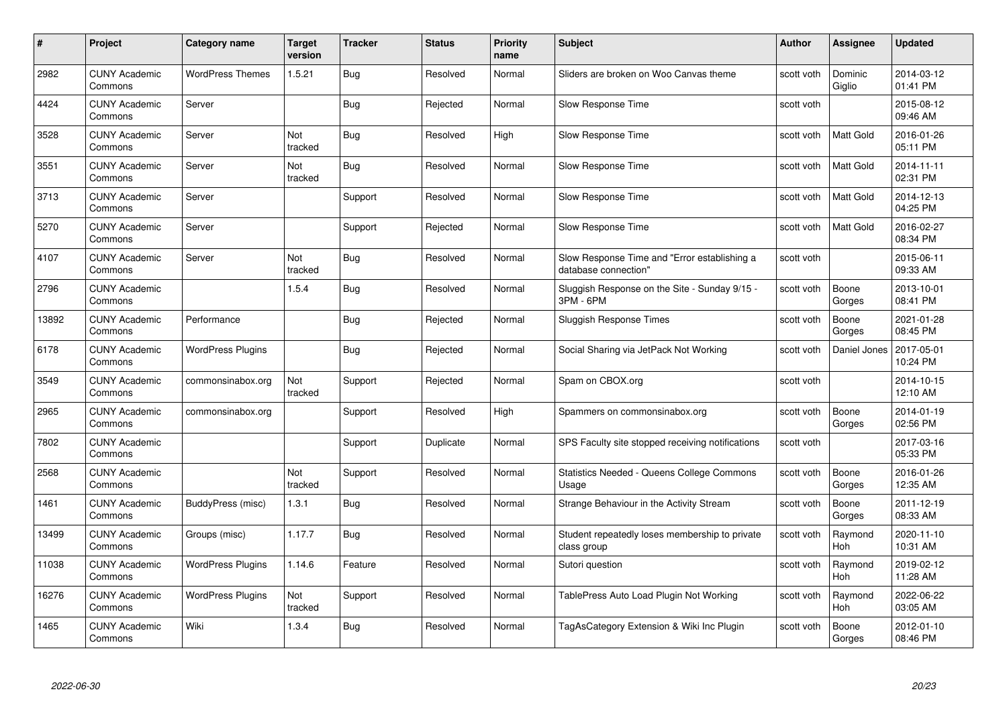| #     | Project                         | Category name            | <b>Target</b><br>version | <b>Tracker</b> | <b>Status</b> | <b>Priority</b><br>name | <b>Subject</b>                                                       | <b>Author</b> | <b>Assignee</b>       | <b>Updated</b>         |
|-------|---------------------------------|--------------------------|--------------------------|----------------|---------------|-------------------------|----------------------------------------------------------------------|---------------|-----------------------|------------------------|
| 2982  | <b>CUNY Academic</b><br>Commons | <b>WordPress Themes</b>  | 1.5.21                   | Bug            | Resolved      | Normal                  | Sliders are broken on Woo Canvas theme                               | scott voth    | Dominic<br>Giglio     | 2014-03-12<br>01:41 PM |
| 4424  | <b>CUNY Academic</b><br>Commons | Server                   |                          | Bug            | Rejected      | Normal                  | Slow Response Time                                                   | scott voth    |                       | 2015-08-12<br>09:46 AM |
| 3528  | <b>CUNY Academic</b><br>Commons | Server                   | <b>Not</b><br>tracked    | <b>Bug</b>     | Resolved      | High                    | Slow Response Time                                                   | scott voth    | Matt Gold             | 2016-01-26<br>05:11 PM |
| 3551  | <b>CUNY Academic</b><br>Commons | Server                   | Not<br>tracked           | Bug            | Resolved      | Normal                  | Slow Response Time                                                   | scott voth    | Matt Gold             | 2014-11-11<br>02:31 PM |
| 3713  | <b>CUNY Academic</b><br>Commons | Server                   |                          | Support        | Resolved      | Normal                  | Slow Response Time                                                   | scott voth    | <b>Matt Gold</b>      | 2014-12-13<br>04:25 PM |
| 5270  | <b>CUNY Academic</b><br>Commons | Server                   |                          | Support        | Rejected      | Normal                  | Slow Response Time                                                   | scott voth    | <b>Matt Gold</b>      | 2016-02-27<br>08:34 PM |
| 4107  | <b>CUNY Academic</b><br>Commons | Server                   | Not<br>tracked           | <b>Bug</b>     | Resolved      | Normal                  | Slow Response Time and "Error establishing a<br>database connection" | scott voth    |                       | 2015-06-11<br>09:33 AM |
| 2796  | <b>CUNY Academic</b><br>Commons |                          | 1.5.4                    | Bug            | Resolved      | Normal                  | Sluggish Response on the Site - Sunday 9/15 -<br>3PM - 6PM           | scott voth    | Boone<br>Gorges       | 2013-10-01<br>08:41 PM |
| 13892 | <b>CUNY Academic</b><br>Commons | Performance              |                          | <b>Bug</b>     | Rejected      | Normal                  | Sluggish Response Times                                              | scott voth    | Boone<br>Gorges       | 2021-01-28<br>08:45 PM |
| 6178  | <b>CUNY Academic</b><br>Commons | <b>WordPress Plugins</b> |                          | <b>Bug</b>     | Rejected      | Normal                  | Social Sharing via JetPack Not Working                               | scott voth    | Daniel Jones          | 2017-05-01<br>10:24 PM |
| 3549  | <b>CUNY Academic</b><br>Commons | commonsinabox.org        | Not<br>tracked           | Support        | Rejected      | Normal                  | Spam on CBOX.org                                                     | scott voth    |                       | 2014-10-15<br>12:10 AM |
| 2965  | <b>CUNY Academic</b><br>Commons | commonsinabox.org        |                          | Support        | Resolved      | High                    | Spammers on commonsinabox.org                                        | scott voth    | Boone<br>Gorges       | 2014-01-19<br>02:56 PM |
| 7802  | <b>CUNY Academic</b><br>Commons |                          |                          | Support        | Duplicate     | Normal                  | SPS Faculty site stopped receiving notifications                     | scott voth    |                       | 2017-03-16<br>05:33 PM |
| 2568  | <b>CUNY Academic</b><br>Commons |                          | Not<br>tracked           | Support        | Resolved      | Normal                  | <b>Statistics Needed - Queens College Commons</b><br>Usage           | scott voth    | Boone<br>Gorges       | 2016-01-26<br>12:35 AM |
| 1461  | <b>CUNY Academic</b><br>Commons | BuddyPress (misc)        | 1.3.1                    | Bug            | Resolved      | Normal                  | Strange Behaviour in the Activity Stream                             | scott voth    | Boone<br>Gorges       | 2011-12-19<br>08:33 AM |
| 13499 | <b>CUNY Academic</b><br>Commons | Groups (misc)            | 1.17.7                   | <b>Bug</b>     | Resolved      | Normal                  | Student repeatedly loses membership to private<br>class group        | scott voth    | Raymond<br>Hoh        | 2020-11-10<br>10:31 AM |
| 11038 | <b>CUNY Academic</b><br>Commons | <b>WordPress Plugins</b> | 1.14.6                   | Feature        | Resolved      | Normal                  | Sutori question                                                      | scott voth    | Raymond<br><b>Hoh</b> | 2019-02-12<br>11:28 AM |
| 16276 | <b>CUNY Academic</b><br>Commons | <b>WordPress Plugins</b> | Not<br>tracked           | Support        | Resolved      | Normal                  | TablePress Auto Load Plugin Not Working                              | scott voth    | Raymond<br>Hoh        | 2022-06-22<br>03:05 AM |
| 1465  | <b>CUNY Academic</b><br>Commons | Wiki                     | 1.3.4                    | Bug            | Resolved      | Normal                  | TagAsCategory Extension & Wiki Inc Plugin                            | scott voth    | Boone<br>Gorges       | 2012-01-10<br>08:46 PM |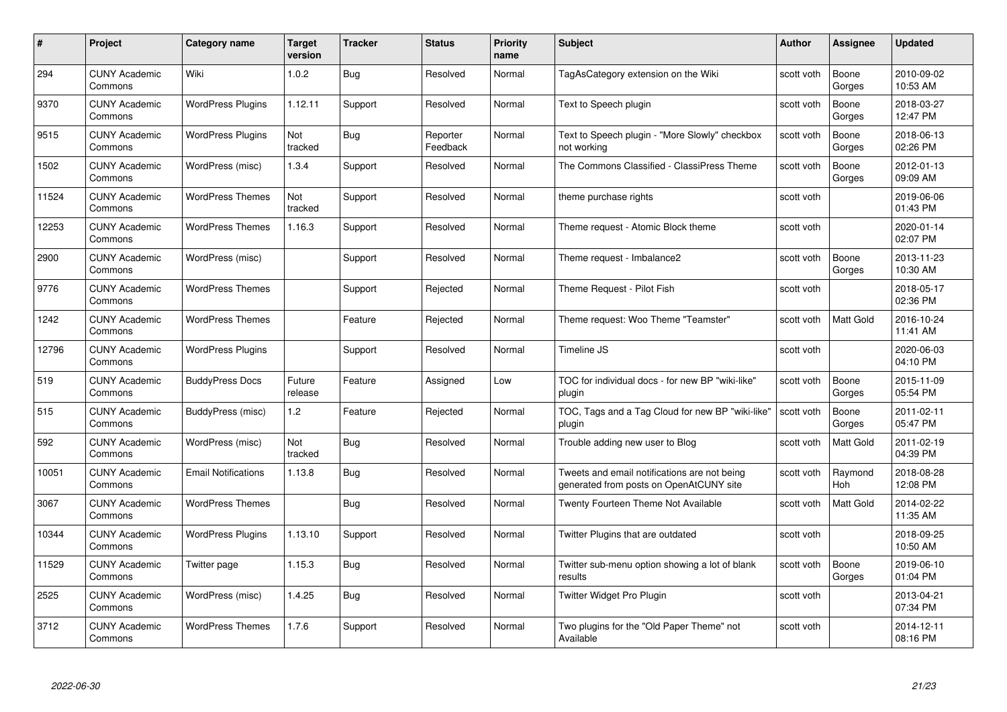| #     | Project                         | <b>Category name</b>       | Target<br>version | <b>Tracker</b> | <b>Status</b>        | <b>Priority</b><br>name | <b>Subject</b>                                                                          | <b>Author</b> | <b>Assignee</b>  | <b>Updated</b>         |
|-------|---------------------------------|----------------------------|-------------------|----------------|----------------------|-------------------------|-----------------------------------------------------------------------------------------|---------------|------------------|------------------------|
| 294   | <b>CUNY Academic</b><br>Commons | Wiki                       | 1.0.2             | <b>Bug</b>     | Resolved             | Normal                  | TagAsCategory extension on the Wiki                                                     | scott voth    | Boone<br>Gorges  | 2010-09-02<br>10:53 AM |
| 9370  | <b>CUNY Academic</b><br>Commons | <b>WordPress Plugins</b>   | 1.12.11           | Support        | Resolved             | Normal                  | Text to Speech plugin                                                                   | scott voth    | Boone<br>Gorges  | 2018-03-27<br>12:47 PM |
| 9515  | <b>CUNY Academic</b><br>Commons | <b>WordPress Plugins</b>   | Not<br>tracked    | Bug            | Reporter<br>Feedback | Normal                  | Text to Speech plugin - "More Slowly" checkbox<br>not working                           | scott voth    | Boone<br>Gorges  | 2018-06-13<br>02:26 PM |
| 1502  | <b>CUNY Academic</b><br>Commons | WordPress (misc)           | 1.3.4             | Support        | Resolved             | Normal                  | The Commons Classified - ClassiPress Theme                                              | scott voth    | Boone<br>Gorges  | 2012-01-13<br>09:09 AM |
| 11524 | <b>CUNY Academic</b><br>Commons | <b>WordPress Themes</b>    | Not<br>tracked    | Support        | Resolved             | Normal                  | theme purchase rights                                                                   | scott voth    |                  | 2019-06-06<br>01:43 PM |
| 12253 | <b>CUNY Academic</b><br>Commons | <b>WordPress Themes</b>    | 1.16.3            | Support        | Resolved             | Normal                  | Theme request - Atomic Block theme                                                      | scott voth    |                  | 2020-01-14<br>02:07 PM |
| 2900  | <b>CUNY Academic</b><br>Commons | WordPress (misc)           |                   | Support        | Resolved             | Normal                  | Theme request - Imbalance2                                                              | scott voth    | Boone<br>Gorges  | 2013-11-23<br>10:30 AM |
| 9776  | <b>CUNY Academic</b><br>Commons | <b>WordPress Themes</b>    |                   | Support        | Rejected             | Normal                  | Theme Request - Pilot Fish                                                              | scott voth    |                  | 2018-05-17<br>02:36 PM |
| 1242  | <b>CUNY Academic</b><br>Commons | <b>WordPress Themes</b>    |                   | Feature        | Rejected             | Normal                  | Theme request: Woo Theme "Teamster"                                                     | scott voth    | <b>Matt Gold</b> | 2016-10-24<br>11:41 AM |
| 12796 | <b>CUNY Academic</b><br>Commons | <b>WordPress Plugins</b>   |                   | Support        | Resolved             | Normal                  | Timeline JS                                                                             | scott voth    |                  | 2020-06-03<br>04:10 PM |
| 519   | <b>CUNY Academic</b><br>Commons | <b>BuddyPress Docs</b>     | Future<br>release | Feature        | Assigned             | Low                     | TOC for individual docs - for new BP "wiki-like"<br>plugin                              | scott voth    | Boone<br>Gorges  | 2015-11-09<br>05:54 PM |
| 515   | <b>CUNY Academic</b><br>Commons | BuddyPress (misc)          | 1.2               | Feature        | Rejected             | Normal                  | TOC, Tags and a Tag Cloud for new BP "wiki-like"<br>plugin                              | scott voth    | Boone<br>Gorges  | 2011-02-11<br>05:47 PM |
| 592   | <b>CUNY Academic</b><br>Commons | WordPress (misc)           | Not<br>tracked    | Bug            | Resolved             | Normal                  | Trouble adding new user to Blog                                                         | scott voth    | <b>Matt Gold</b> | 2011-02-19<br>04:39 PM |
| 10051 | <b>CUNY Academic</b><br>Commons | <b>Email Notifications</b> | 1.13.8            | <b>Bug</b>     | Resolved             | Normal                  | Tweets and email notifications are not being<br>generated from posts on OpenAtCUNY site | scott voth    | Raymond<br>Hoh   | 2018-08-28<br>12:08 PM |
| 3067  | CUNY Academic<br>Commons        | <b>WordPress Themes</b>    |                   | Bug            | Resolved             | Normal                  | Twenty Fourteen Theme Not Available                                                     | scott voth    | Matt Gold        | 2014-02-22<br>11:35 AM |
| 10344 | <b>CUNY Academic</b><br>Commons | <b>WordPress Plugins</b>   | 1.13.10           | Support        | Resolved             | Normal                  | Twitter Plugins that are outdated                                                       | scott voth    |                  | 2018-09-25<br>10:50 AM |
| 11529 | <b>CUNY Academic</b><br>Commons | Twitter page               | 1.15.3            | Bug            | Resolved             | Normal                  | Twitter sub-menu option showing a lot of blank<br>results                               | scott voth    | Boone<br>Gorges  | 2019-06-10<br>01:04 PM |
| 2525  | <b>CUNY Academic</b><br>Commons | WordPress (misc)           | 1.4.25            | <b>Bug</b>     | Resolved             | Normal                  | Twitter Widget Pro Plugin                                                               | scott voth    |                  | 2013-04-21<br>07:34 PM |
| 3712  | CUNY Academic<br>Commons        | <b>WordPress Themes</b>    | 1.7.6             | Support        | Resolved             | Normal                  | Two plugins for the "Old Paper Theme" not<br>Available                                  | scott voth    |                  | 2014-12-11<br>08:16 PM |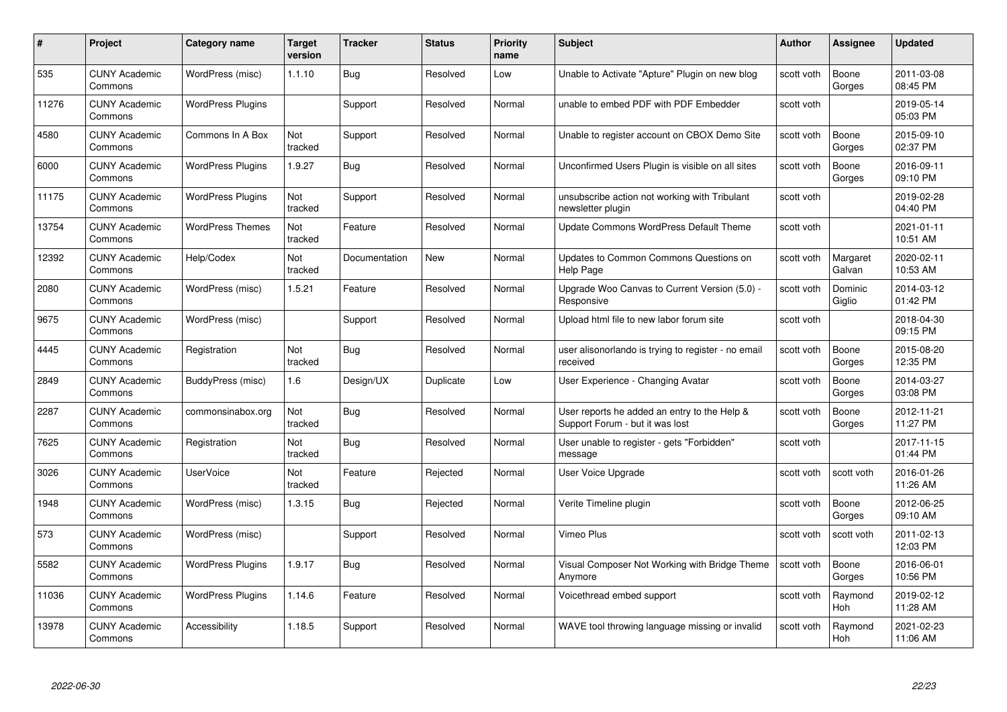| #     | Project                         | <b>Category name</b>     | Target<br>version | <b>Tracker</b> | <b>Status</b> | <b>Priority</b><br>name | <b>Subject</b>                                                                  | <b>Author</b> | <b>Assignee</b>    | <b>Updated</b>         |
|-------|---------------------------------|--------------------------|-------------------|----------------|---------------|-------------------------|---------------------------------------------------------------------------------|---------------|--------------------|------------------------|
| 535   | <b>CUNY Academic</b><br>Commons | WordPress (misc)         | 1.1.10            | <b>Bug</b>     | Resolved      | Low                     | Unable to Activate "Apture" Plugin on new blog                                  | scott voth    | Boone<br>Gorges    | 2011-03-08<br>08:45 PM |
| 11276 | <b>CUNY Academic</b><br>Commons | <b>WordPress Plugins</b> |                   | Support        | Resolved      | Normal                  | unable to embed PDF with PDF Embedder                                           | scott voth    |                    | 2019-05-14<br>05:03 PM |
| 4580  | <b>CUNY Academic</b><br>Commons | Commons In A Box         | Not<br>tracked    | Support        | Resolved      | Normal                  | Unable to register account on CBOX Demo Site                                    | scott voth    | Boone<br>Gorges    | 2015-09-10<br>02:37 PM |
| 6000  | <b>CUNY Academic</b><br>Commons | <b>WordPress Plugins</b> | 1.9.27            | Bug            | Resolved      | Normal                  | Unconfirmed Users Plugin is visible on all sites                                | scott voth    | Boone<br>Gorges    | 2016-09-11<br>09:10 PM |
| 11175 | <b>CUNY Academic</b><br>Commons | <b>WordPress Plugins</b> | Not<br>tracked    | Support        | Resolved      | Normal                  | unsubscribe action not working with Tribulant<br>newsletter plugin              | scott voth    |                    | 2019-02-28<br>04:40 PM |
| 13754 | <b>CUNY Academic</b><br>Commons | <b>WordPress Themes</b>  | Not<br>tracked    | Feature        | Resolved      | Normal                  | Update Commons WordPress Default Theme                                          | scott voth    |                    | 2021-01-11<br>10:51 AM |
| 12392 | <b>CUNY Academic</b><br>Commons | Help/Codex               | Not<br>tracked    | Documentation  | New           | Normal                  | Updates to Common Commons Questions on<br>Help Page                             | scott voth    | Margaret<br>Galvan | 2020-02-11<br>10:53 AM |
| 2080  | <b>CUNY Academic</b><br>Commons | WordPress (misc)         | 1.5.21            | Feature        | Resolved      | Normal                  | Upgrade Woo Canvas to Current Version (5.0) -<br>Responsive                     | scott voth    | Dominic<br>Giglio  | 2014-03-12<br>01:42 PM |
| 9675  | <b>CUNY Academic</b><br>Commons | WordPress (misc)         |                   | Support        | Resolved      | Normal                  | Upload html file to new labor forum site                                        | scott voth    |                    | 2018-04-30<br>09:15 PM |
| 4445  | <b>CUNY Academic</b><br>Commons | Registration             | Not<br>tracked    | Bug            | Resolved      | Normal                  | user alisonorlando is trying to register - no email<br>received                 | scott voth    | Boone<br>Gorges    | 2015-08-20<br>12:35 PM |
| 2849  | <b>CUNY Academic</b><br>Commons | BuddyPress (misc)        | 1.6               | Design/UX      | Duplicate     | Low                     | User Experience - Changing Avatar                                               | scott voth    | Boone<br>Gorges    | 2014-03-27<br>03:08 PM |
| 2287  | <b>CUNY Academic</b><br>Commons | commonsinabox.org        | Not<br>tracked    | Bug            | Resolved      | Normal                  | User reports he added an entry to the Help &<br>Support Forum - but it was lost | scott voth    | Boone<br>Gorges    | 2012-11-21<br>11:27 PM |
| 7625  | <b>CUNY Academic</b><br>Commons | Registration             | Not<br>tracked    | <b>Bug</b>     | Resolved      | Normal                  | User unable to register - gets "Forbidden"<br>message                           | scott voth    |                    | 2017-11-15<br>01:44 PM |
| 3026  | <b>CUNY Academic</b><br>Commons | <b>UserVoice</b>         | Not<br>tracked    | Feature        | Rejected      | Normal                  | User Voice Upgrade                                                              | scott voth    | scott voth         | 2016-01-26<br>11:26 AM |
| 1948  | <b>CUNY Academic</b><br>Commons | WordPress (misc)         | 1.3.15            | Bug            | Rejected      | Normal                  | Verite Timeline plugin                                                          | scott voth    | Boone<br>Gorges    | 2012-06-25<br>09:10 AM |
| 573   | <b>CUNY Academic</b><br>Commons | WordPress (misc)         |                   | Support        | Resolved      | Normal                  | Vimeo Plus                                                                      | scott voth    | scott voth         | 2011-02-13<br>12:03 PM |
| 5582  | <b>CUNY Academic</b><br>Commons | <b>WordPress Plugins</b> | 1.9.17            | Bug            | Resolved      | Normal                  | Visual Composer Not Working with Bridge Theme<br>Anymore                        | scott voth    | Boone<br>Gorges    | 2016-06-01<br>10:56 PM |
| 11036 | <b>CUNY Academic</b><br>Commons | <b>WordPress Plugins</b> | 1.14.6            | Feature        | Resolved      | Normal                  | Voicethread embed support                                                       | scott voth    | Raymond<br>Hoh     | 2019-02-12<br>11:28 AM |
| 13978 | CUNY Academic<br>Commons        | Accessibility            | 1.18.5            | Support        | Resolved      | Normal                  | WAVE tool throwing language missing or invalid                                  | scott voth    | Raymond<br>Hoh     | 2021-02-23<br>11:06 AM |